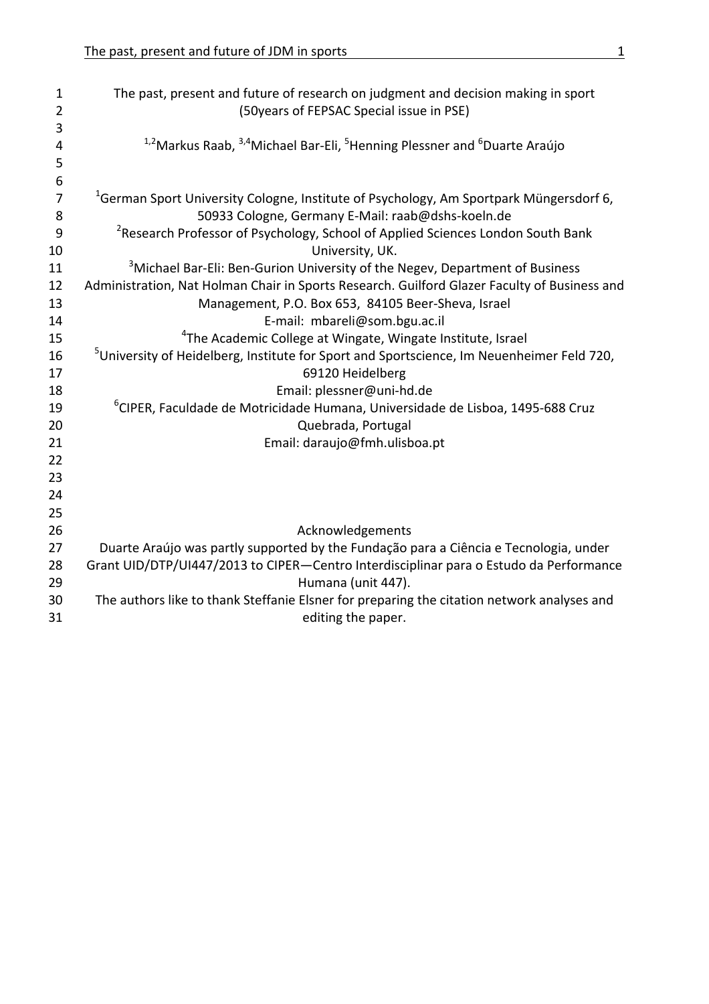| $\mathbf{1}$        | The past, present and future of research on judgment and decision making in sport                                                                       |
|---------------------|---------------------------------------------------------------------------------------------------------------------------------------------------------|
| $\overline{2}$      | (50years of FEPSAC Special issue in PSE)                                                                                                                |
| 3                   |                                                                                                                                                         |
| 4                   | <sup>1,2</sup> Markus Raab, <sup>3,4</sup> Michael Bar-Eli, <sup>5</sup> Henning Plessner and <sup>6</sup> Duarte Araújo                                |
| 5                   |                                                                                                                                                         |
| 6<br>$\overline{7}$ |                                                                                                                                                         |
| 8                   | <sup>1</sup> German Sport University Cologne, Institute of Psychology, Am Sportpark Müngersdorf 6,<br>50933 Cologne, Germany E-Mail: raab@dshs-koeln.de |
| 9                   | <sup>2</sup> Research Professor of Psychology, School of Applied Sciences London South Bank                                                             |
| 10                  | University, UK.                                                                                                                                         |
| 11                  | <sup>3</sup> Michael Bar-Eli: Ben-Gurion University of the Negev, Department of Business                                                                |
| 12                  | Administration, Nat Holman Chair in Sports Research. Guilford Glazer Faculty of Business and                                                            |
| 13                  | Management, P.O. Box 653, 84105 Beer-Sheva, Israel                                                                                                      |
| 14                  | E-mail: mbareli@som.bgu.ac.il                                                                                                                           |
| 15                  | <sup>4</sup> The Academic College at Wingate, Wingate Institute, Israel                                                                                 |
| 16                  | <sup>5</sup> University of Heidelberg, Institute for Sport and Sportscience, Im Neuenheimer Feld 720,                                                   |
| 17                  | 69120 Heidelberg                                                                                                                                        |
| 18                  | Email: plessner@uni-hd.de                                                                                                                               |
| 19                  | <sup>6</sup> CIPER, Faculdade de Motricidade Humana, Universidade de Lisboa, 1495-688 Cruz                                                              |
| 20                  | Quebrada, Portugal                                                                                                                                      |
| 21                  | Email: daraujo@fmh.ulisboa.pt                                                                                                                           |
| 22                  |                                                                                                                                                         |
| 23                  |                                                                                                                                                         |
| 24                  |                                                                                                                                                         |
| 25                  |                                                                                                                                                         |
| 26                  | Acknowledgements                                                                                                                                        |
| 27                  | Duarte Araújo was partly supported by the Fundação para a Ciência e Tecnologia, under                                                                   |
| 28                  | Grant UID/DTP/UI447/2013 to CIPER-Centro Interdisciplinar para o Estudo da Performance                                                                  |
| 29                  | Humana (unit 447).                                                                                                                                      |
| 30                  | The authors like to thank Steffanie Elsner for preparing the citation network analyses and                                                              |
| 31                  | editing the paper.                                                                                                                                      |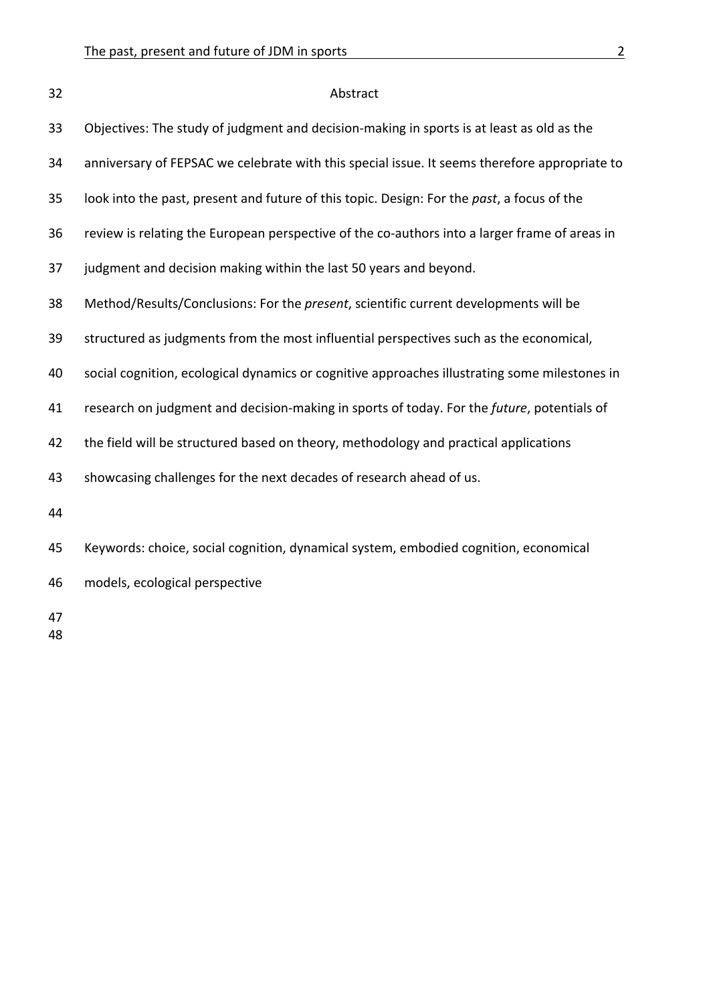| 32       | Abstract                                                                                      |
|----------|-----------------------------------------------------------------------------------------------|
| 33       | Objectives: The study of judgment and decision-making in sports is at least as old as the     |
| 34       | anniversary of FEPSAC we celebrate with this special issue. It seems therefore appropriate to |
| 35       | look into the past, present and future of this topic. Design: For the past, a focus of the    |
| 36       | review is relating the European perspective of the co-authors into a larger frame of areas in |
| 37       | judgment and decision making within the last 50 years and beyond.                             |
| 38       | Method/Results/Conclusions: For the present, scientific current developments will be          |
| 39       | structured as judgments from the most influential perspectives such as the economical,        |
| 40       | social cognition, ecological dynamics or cognitive approaches illustrating some milestones in |
| 41       | research on judgment and decision-making in sports of today. For the future, potentials of    |
| 42       | the field will be structured based on theory, methodology and practical applications          |
| 43       | showcasing challenges for the next decades of research ahead of us.                           |
| 44       |                                                                                               |
| 45       | Keywords: choice, social cognition, dynamical system, embodied cognition, economical          |
| 46       | models, ecological perspective                                                                |
| 47<br>48 |                                                                                               |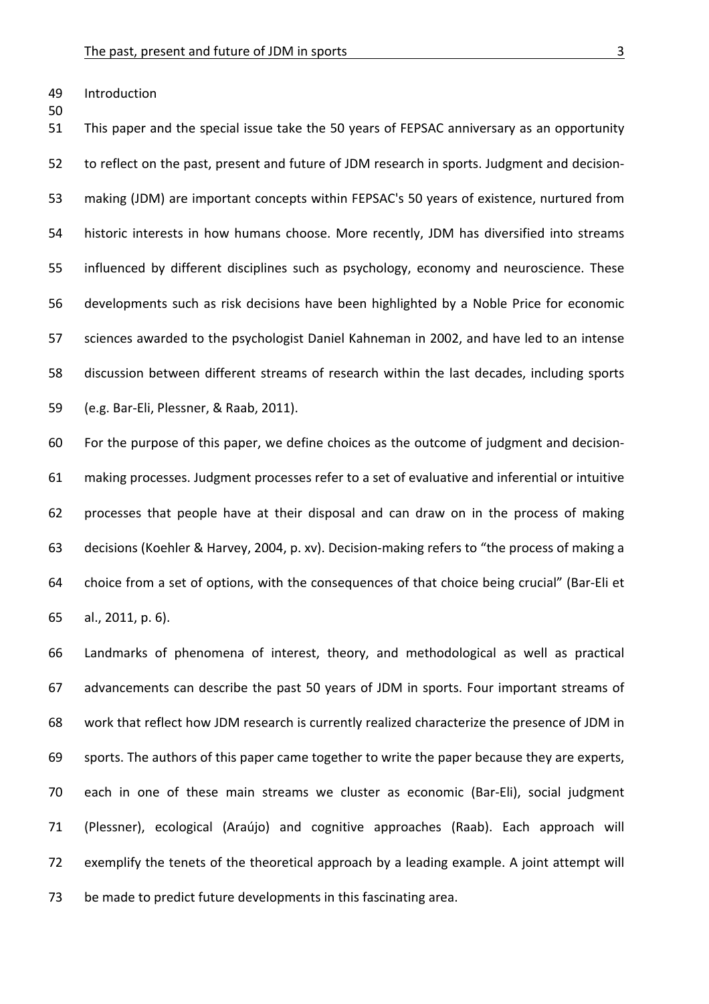49 Introduction

50

51 This paper and the special issue take the 50 years of FEPSAC anniversary as an opportunity 52 to reflect on the past, present and future of JDM research in sports. Judgment and decision-53 making (JDM) are important concepts within FEPSAC's 50 years of existence, nurtured from 54 historic interests in how humans choose. More recently, JDM has diversified into streams 55 influenced by different disciplines such as psychology, economy and neuroscience. These 56 developments such as risk decisions have been highlighted by a Noble Price for economic 57 sciences awarded to the psychologist Daniel Kahneman in 2002, and have led to an intense 58 discussion between different streams of research within the last decades, including sports 59 (e.g. Bar-Eli, Plessner, & Raab, 2011).

60 For the purpose of this paper, we define choices as the outcome of judgment and decision-61 making processes. Judgment processes refer to a set of evaluative and inferential or intuitive 62 processes that people have at their disposal and can draw on in the process of making 63 decisions (Koehler & Harvey, 2004, p. xv). Decision-making refers to "the process of making a 64 choice from a set of options, with the consequences of that choice being crucial" (Bar-Eli et 65 al., 2011, p. 6).

66 Landmarks of phenomena of interest, theory, and methodological as well as practical 67 advancements can describe the past 50 years of JDM in sports. Four important streams of 68 work that reflect how JDM research is currently realized characterize the presence of JDM in 69 sports. The authors of this paper came together to write the paper because they are experts, 70 each in one of these main streams we cluster as economic (Bar-Eli), social judgment 71 (Plessner), ecological (Araújo) and cognitive approaches (Raab). Each approach will 72 exemplify the tenets of the theoretical approach by a leading example. A joint attempt will 73 be made to predict future developments in this fascinating area.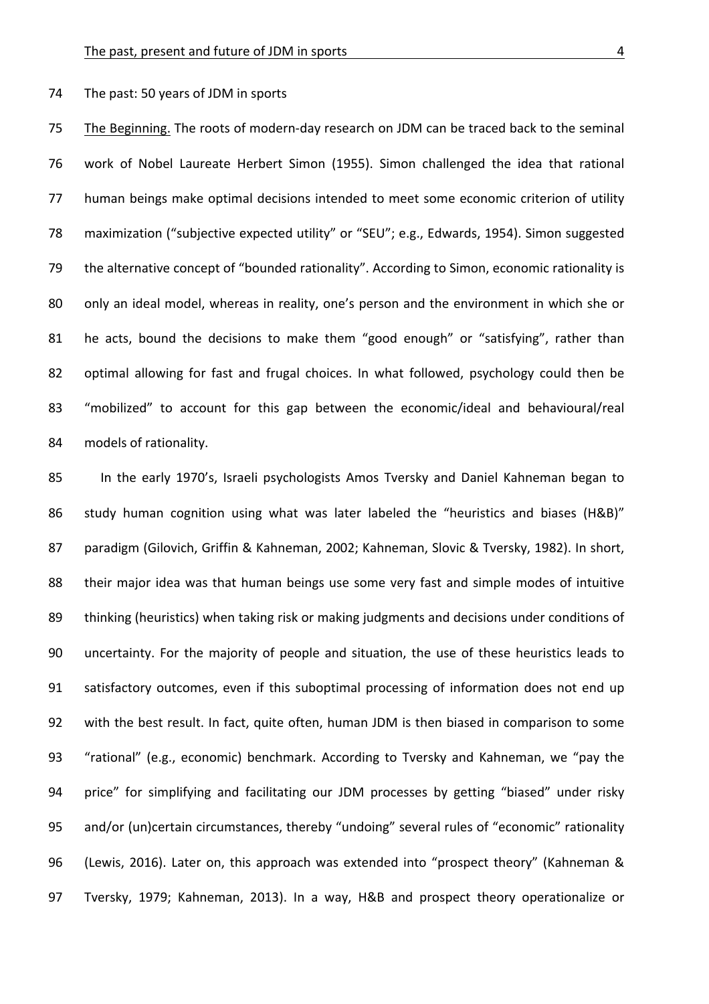74 The past: 50 years of JDM in sports

75 The Beginning. The roots of modern-day research on JDM can be traced back to the seminal 76 work of Nobel Laureate Herbert Simon (1955). Simon challenged the idea that rational 77 human beings make optimal decisions intended to meet some economic criterion of utility 78 maximization ("subjective expected utility" or "SEU"; e.g., Edwards, 1954). Simon suggested 79 the alternative concept of "bounded rationality". According to Simon, economic rationality is 80 only an ideal model, whereas in reality, one's person and the environment in which she or 81 he acts, bound the decisions to make them "good enough" or "satisfying", rather than 82 optimal allowing for fast and frugal choices. In what followed, psychology could then be 83 "mobilized" to account for this gap between the economic/ideal and behavioural/real 84 models of rationality.

85 In the early 1970's, Israeli psychologists Amos Tversky and Daniel Kahneman began to 86 study human cognition using what was later labeled the "heuristics and biases (H&B)" 87 paradigm (Gilovich, Griffin & Kahneman, 2002; Kahneman, Slovic & Tversky, 1982). In short, 88 their major idea was that human beings use some very fast and simple modes of intuitive 89 thinking (heuristics) when taking risk or making judgments and decisions under conditions of 90 uncertainty. For the majority of people and situation, the use of these heuristics leads to 91 satisfactory outcomes, even if this suboptimal processing of information does not end up 92 with the best result. In fact, quite often, human JDM is then biased in comparison to some 93 "rational" (e.g., economic) benchmark. According to Tversky and Kahneman, we "pay the 94 price" for simplifying and facilitating our JDM processes by getting "biased" under risky 95 and/or (un)certain circumstances, thereby "undoing" several rules of "economic" rationality 96 (Lewis, 2016). Later on, this approach was extended into "prospect theory" (Kahneman & 97 Tversky, 1979; Kahneman, 2013). In a way, H&B and prospect theory operationalize or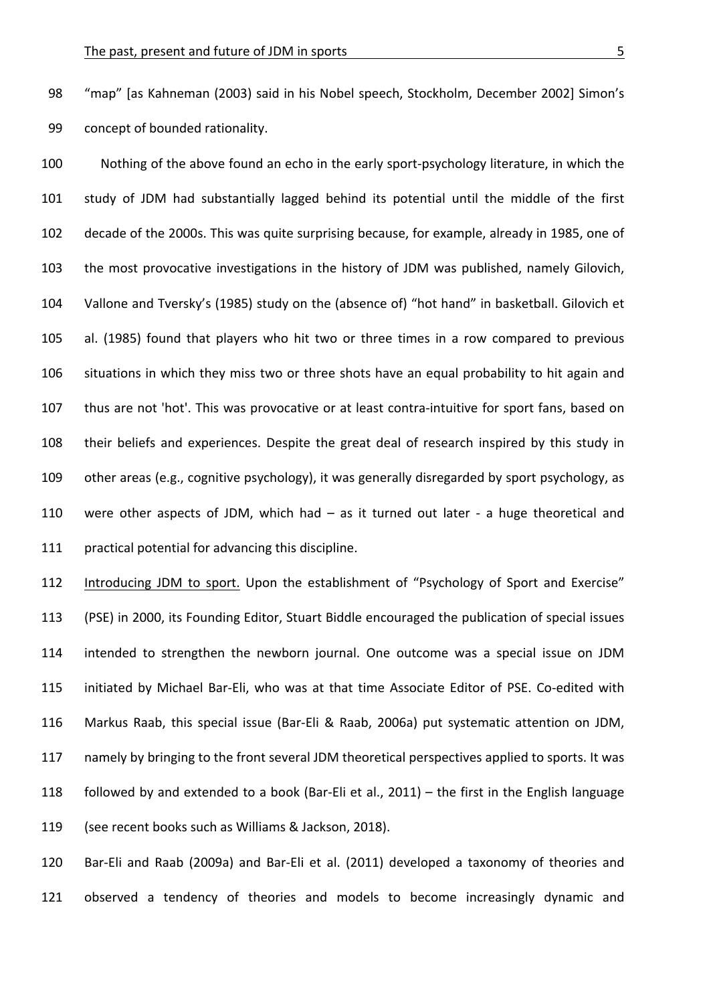98 "map" [as Kahneman (2003) said in his Nobel speech, Stockholm, December 2002] Simon's 99 concept of bounded rationality.

100 Nothing of the above found an echo in the early sport-psychology literature, in which the 101 study of JDM had substantially lagged behind its potential until the middle of the first 102 decade of the 2000s. This was quite surprising because, for example, already in 1985, one of 103 the most provocative investigations in the history of JDM was published, namely Gilovich, 104 Vallone and Tversky's (1985) study on the (absence of) "hot hand" in basketball. Gilovich et 105 al. (1985) found that players who hit two or three times in a row compared to previous 106 situations in which they miss two or three shots have an equal probability to hit again and 107 thus are not 'hot'. This was provocative or at least contra-intuitive for sport fans, based on 108 their beliefs and experiences. Despite the great deal of research inspired by this study in 109 other areas (e.g., cognitive psychology), it was generally disregarded by sport psychology, as 110 were other aspects of JDM, which had  $-$  as it turned out later - a huge theoretical and 111 practical potential for advancing this discipline.

112 Introducing JDM to sport. Upon the establishment of "Psychology of Sport and Exercise" 113 (PSE) in 2000, its Founding Editor, Stuart Biddle encouraged the publication of special issues 114 intended to strengthen the newborn journal. One outcome was a special issue on JDM 115 initiated by Michael Bar-Eli, who was at that time Associate Editor of PSE. Co-edited with 116 Markus Raab, this special issue (Bar-Eli & Raab, 2006a) put systematic attention on JDM, 117 namely by bringing to the front several JDM theoretical perspectives applied to sports. It was 118 followed by and extended to a book (Bar-Eli et al., 2011) – the first in the English language 119 (see recent books such as Williams & Jackson, 2018).

120 Bar-Eli and Raab (2009a) and Bar-Eli et al. (2011) developed a taxonomy of theories and 121 observed a tendency of theories and models to become increasingly dynamic and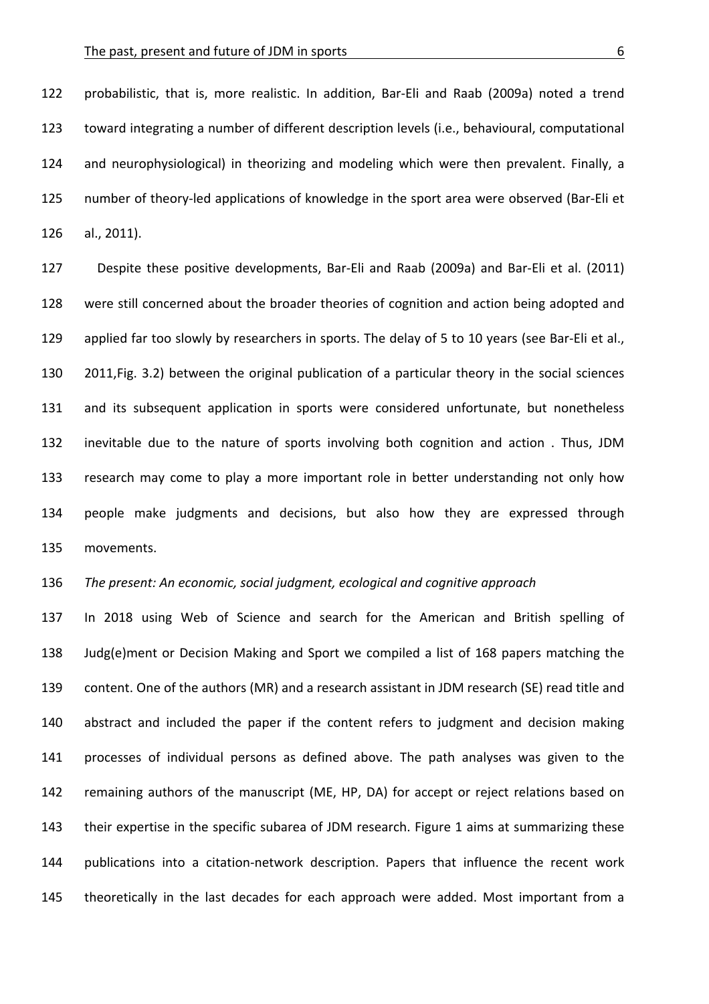122 probabilistic, that is, more realistic. In addition, Bar-Eli and Raab (2009a) noted a trend 123 toward integrating a number of different description levels (i.e., behavioural, computational 124 and neurophysiological) in theorizing and modeling which were then prevalent. Finally, a 125 number of theory-led applications of knowledge in the sport area were observed (Bar-Eli et 126 al., 2011).

127 Despite these positive developments, Bar-Eli and Raab (2009a) and Bar-Eli et al. (2011) 128 were still concerned about the broader theories of cognition and action being adopted and 129 applied far too slowly by researchers in sports. The delay of 5 to 10 years (see Bar-Eli et al., 130 2011, Fig. 3.2) between the original publication of a particular theory in the social sciences 131 and its subsequent application in sports were considered unfortunate, but nonetheless 132 inevitable due to the nature of sports involving both cognition and action . Thus, JDM 133 research may come to play a more important role in better understanding not only how 134 people make judgments and decisions, but also how they are expressed through 135 movements.

136 The present: An economic, social judgment, ecological and cognitive approach

137 In 2018 using Web of Science and search for the American and British spelling of 138 Judg(e)ment or Decision Making and Sport we compiled a list of 168 papers matching the 139 content. One of the authors (MR) and a research assistant in JDM research (SE) read title and 140 abstract and included the paper if the content refers to judgment and decision making 141 processes of individual persons as defined above. The path analyses was given to the 142 remaining authors of the manuscript (ME, HP, DA) for accept or reject relations based on 143 their expertise in the specific subarea of JDM research. Figure 1 aims at summarizing these 144 publications into a citation-network description. Papers that influence the recent work 145 theoretically in the last decades for each approach were added. Most important from a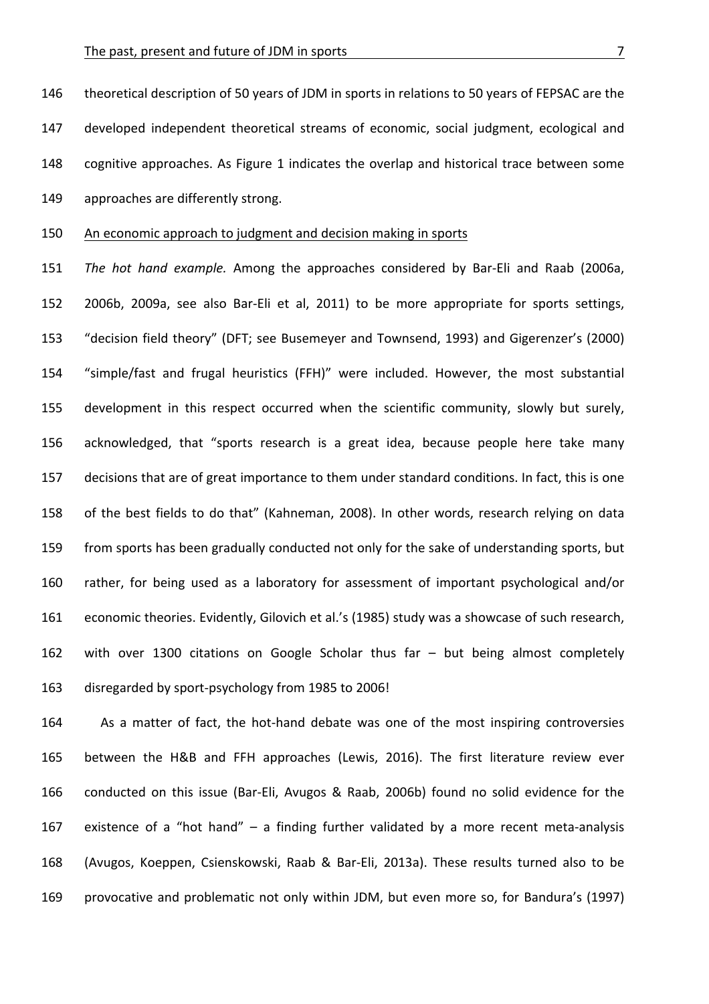146 theoretical description of 50 years of JDM in sports in relations to 50 years of FEPSAC are the 147 developed independent theoretical streams of economic, social judgment, ecological and 148 cognitive approaches. As Figure 1 indicates the overlap and historical trace between some 149 approaches are differently strong.

# 150 An economic approach to judgment and decision making in sports

151 The hot hand example. Among the approaches considered by Bar-Eli and Raab (2006a, 152 2006b, 2009a, see also Bar-Eli et al, 2011) to be more appropriate for sports settings, 153 "decision field theory" (DFT; see Busemeyer and Townsend, 1993) and Gigerenzer's (2000) 154 "simple/fast and frugal heuristics (FFH)" were included. However, the most substantial 155 development in this respect occurred when the scientific community, slowly but surely, 156 acknowledged, that "sports research is a great idea, because people here take many 157 decisions that are of great importance to them under standard conditions. In fact, this is one 158 of the best fields to do that" (Kahneman, 2008). In other words, research relying on data 159 from sports has been gradually conducted not only for the sake of understanding sports, but 160 rather, for being used as a laboratory for assessment of important psychological and/or 161 economic theories. Evidently, Gilovich et al.'s (1985) study was a showcase of such research, 162 with over 1300 citations on Google Scholar thus far - but being almost completely 163 disregarded by sport-psychology from 1985 to 2006!

164 As a matter of fact, the hot-hand debate was one of the most inspiring controversies 165 between the H&B and FFH approaches (Lewis, 2016). The first literature review ever 166 conducted on this issue (Bar-Eli, Avugos & Raab, 2006b) found no solid evidence for the 167 existence of a "hot hand" – a finding further validated by a more recent meta-analysis 168 (Avugos, Koeppen, Csienskowski, Raab & Bar-Eli, 2013a). These results turned also to be 169 provocative and problematic not only within JDM, but even more so, for Bandura's (1997)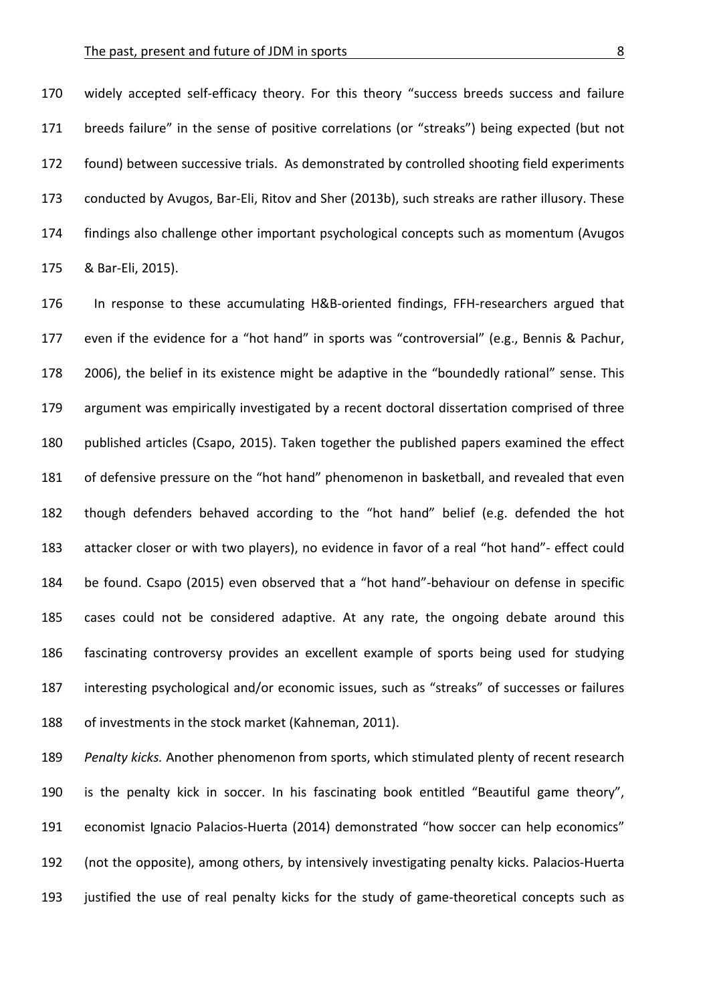170 widely accepted self-efficacy theory. For this theory "success breeds success and failure 171 breeds failure" in the sense of positive correlations (or "streaks") being expected (but not 172 found) between successive trials. As demonstrated by controlled shooting field experiments 173 conducted by Avugos, Bar-Eli, Ritov and Sher (2013b), such streaks are rather illusory. These 174 findings also challenge other important psychological concepts such as momentum (Avugos 175 & Bar-Eli, 2015).

176 In response to these accumulating H&B-oriented findings, FFH-researchers argued that 177 even if the evidence for a "hot hand" in sports was "controversial" (e.g., Bennis & Pachur, 178 2006), the belief in its existence might be adaptive in the "boundedly rational" sense. This 179 argument was empirically investigated by a recent doctoral dissertation comprised of three 180 published articles (Csapo, 2015). Taken together the published papers examined the effect 181 of defensive pressure on the "hot hand" phenomenon in basketball, and revealed that even 182 though defenders behaved according to the "hot hand" belief (e.g. defended the hot 183 attacker closer or with two players), no evidence in favor of a real "hot hand"- effect could 184 be found. Csapo (2015) even observed that a "hot hand"-behaviour on defense in specific 185 cases could not be considered adaptive. At any rate, the ongoing debate around this 186 fascinating controversy provides an excellent example of sports being used for studying 187 interesting psychological and/or economic issues, such as "streaks" of successes or failures 188 of investments in the stock market (Kahneman, 2011).

189 Penalty kicks. Another phenomenon from sports, which stimulated plenty of recent research 190 is the penalty kick in soccer. In his fascinating book entitled "Beautiful game theory", 191 economist Ignacio Palacios-Huerta (2014) demonstrated "how soccer can help economics" 192 (not the opposite), among others, by intensively investigating penalty kicks. Palacios-Huerta 193 justified the use of real penalty kicks for the study of game-theoretical concepts such as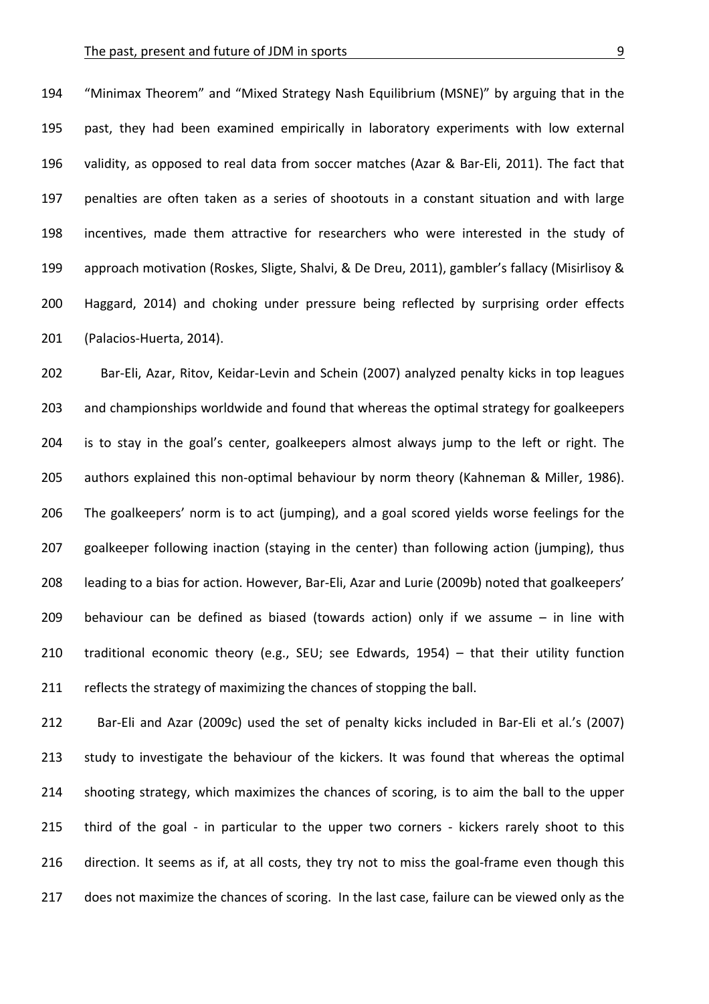#### The past, present and future of JDM in sports **EXACTER** 2004 12:00 12:00 13:00 13:00 13:00 13:00 13:00 13:00 13:00 13:00 13:00 13:00 13:00 13:00 13:00 13:00 13:00 13:00 13:00 13:00 13:00 13:00 13:00 13:00 13:00 13:00 13:00

194 "Minimax Theorem" and "Mixed Strategy Nash Equilibrium (MSNE)" by arguing that in the 195 past, they had been examined empirically in laboratory experiments with low external 196 validity, as opposed to real data from soccer matches (Azar & Bar-Eli, 2011). The fact that 197 penalties are often taken as a series of shootouts in a constant situation and with large 198 incentives, made them attractive for researchers who were interested in the study of 199 approach motivation (Roskes, Sligte, Shalvi, & De Dreu, 2011), gambler's fallacy (Misirlisoy & 200 Haggard, 2014) and choking under pressure being reflected by surprising order effects 201 (Palacios-Huerta, 2014).

202 Bar-Eli, Azar, Ritov, Keidar-Levin and Schein (2007) analyzed penalty kicks in top leagues 203 and championships worldwide and found that whereas the optimal strategy for goalkeepers 204 is to stay in the goal's center, goalkeepers almost always jump to the left or right. The 205 authors explained this non-optimal behaviour by norm theory (Kahneman & Miller, 1986). 206 The goalkeepers' norm is to act (jumping), and a goal scored yields worse feelings for the 207 goalkeeper following inaction (staying in the center) than following action (jumping), thus 208 leading to a bias for action. However, Bar-Eli, Azar and Lurie (2009b) noted that goalkeepers' 209 behaviour can be defined as biased (towards action) only if we assume  $-$  in line with 210 traditional economic theory (e.g., SEU; see Edwards,  $1954$ ) – that their utility function 211 reflects the strategy of maximizing the chances of stopping the ball.

212 Bar-Eli and Azar (2009c) used the set of penalty kicks included in Bar-Eli et al.'s (2007) 213 study to investigate the behaviour of the kickers. It was found that whereas the optimal 214 shooting strategy, which maximizes the chances of scoring, is to aim the ball to the upper 215 third of the goal - in particular to the upper two corners - kickers rarely shoot to this 216 direction. It seems as if, at all costs, they try not to miss the goal-frame even though this 217 does not maximize the chances of scoring. In the last case, failure can be viewed only as the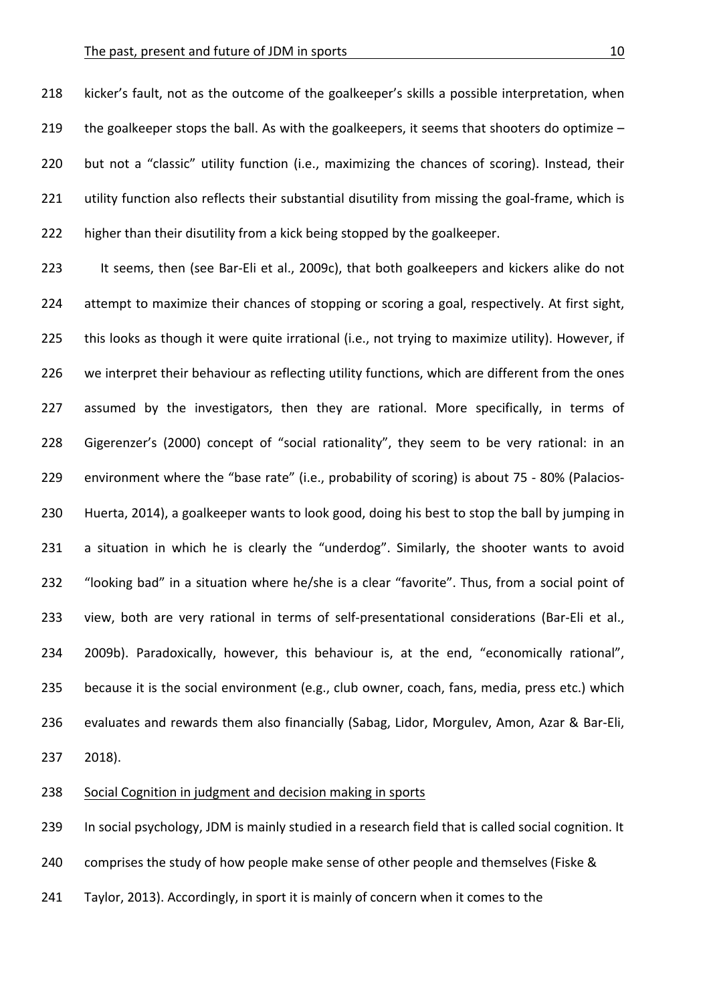218 kicker's fault, not as the outcome of the goalkeeper's skills a possible interpretation, when 219 the goalkeeper stops the ball. As with the goalkeepers, it seems that shooters do optimize  $-$ 220 but not a "classic" utility function (i.e., maximizing the chances of scoring). Instead, their 221 utility function also reflects their substantial disutility from missing the goal-frame, which is 222 higher than their disutility from a kick being stopped by the goalkeeper.

223 It seems, then (see Bar-Eli et al., 2009c), that both goalkeepers and kickers alike do not 224 attempt to maximize their chances of stopping or scoring a goal, respectively. At first sight, 225 this looks as though it were quite irrational (i.e., not trying to maximize utility). However, if 226 we interpret their behaviour as reflecting utility functions, which are different from the ones 227 assumed by the investigators, then they are rational. More specifically, in terms of 228 Gigerenzer's (2000) concept of "social rationality", they seem to be very rational: in an 229 environment where the "base rate" (i.e., probability of scoring) is about 75 - 80% (Palacios-230 Huerta, 2014), a goalkeeper wants to look good, doing his best to stop the ball by jumping in 231 a situation in which he is clearly the "underdog". Similarly, the shooter wants to avoid 232 "looking bad" in a situation where he/she is a clear "favorite". Thus, from a social point of 233 view, both are very rational in terms of self-presentational considerations (Bar-Eli et al., 234 2009b). Paradoxically, however, this behaviour is, at the end, "economically rational", 235 because it is the social environment (e.g., club owner, coach, fans, media, press etc.) which 236 evaluates and rewards them also financially (Sabag, Lidor, Morgulev, Amon, Azar & Bar-Eli, 237 2018).

238 Social Cognition in judgment and decision making in sports

239 In social psychology, JDM is mainly studied in a research field that is called social cognition. It

240 comprises the study of how people make sense of other people and themselves (Fiske &

241 Taylor, 2013). Accordingly, in sport it is mainly of concern when it comes to the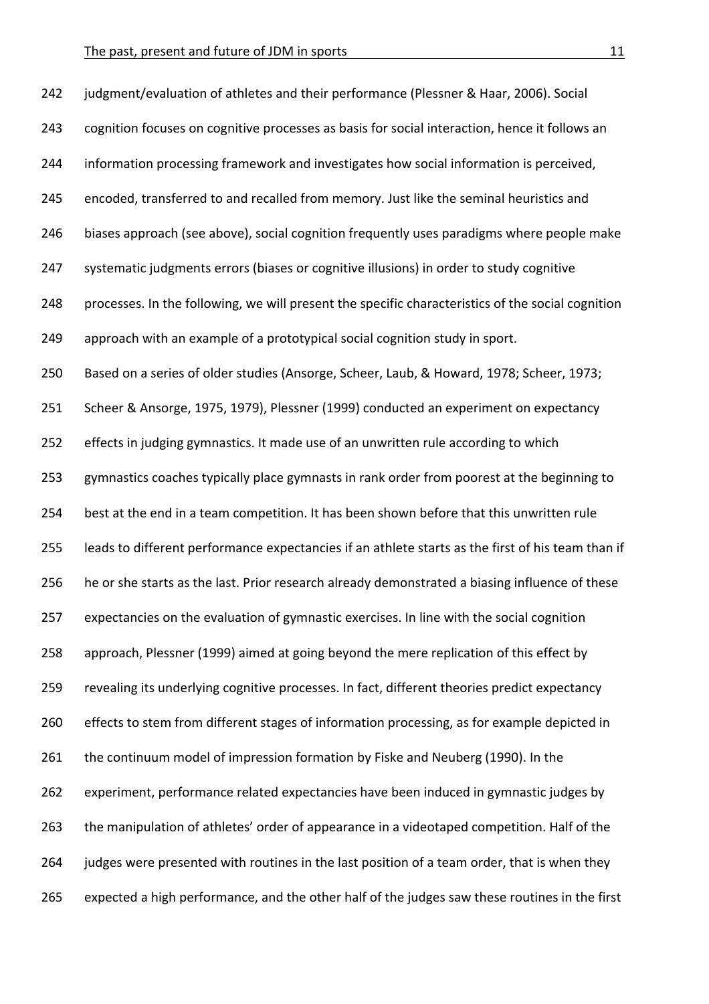| 242 | judgment/evaluation of athletes and their performance (Plessner & Haar, 2006). Social             |
|-----|---------------------------------------------------------------------------------------------------|
| 243 | cognition focuses on cognitive processes as basis for social interaction, hence it follows an     |
| 244 | information processing framework and investigates how social information is perceived,            |
| 245 | encoded, transferred to and recalled from memory. Just like the seminal heuristics and            |
| 246 | biases approach (see above), social cognition frequently uses paradigms where people make         |
| 247 | systematic judgments errors (biases or cognitive illusions) in order to study cognitive           |
| 248 | processes. In the following, we will present the specific characteristics of the social cognition |
| 249 | approach with an example of a prototypical social cognition study in sport.                       |
| 250 | Based on a series of older studies (Ansorge, Scheer, Laub, & Howard, 1978; Scheer, 1973;          |
| 251 | Scheer & Ansorge, 1975, 1979), Plessner (1999) conducted an experiment on expectancy              |
| 252 | effects in judging gymnastics. It made use of an unwritten rule according to which                |
| 253 | gymnastics coaches typically place gymnasts in rank order from poorest at the beginning to        |
| 254 | best at the end in a team competition. It has been shown before that this unwritten rule          |
| 255 | leads to different performance expectancies if an athlete starts as the first of his team than if |
| 256 | he or she starts as the last. Prior research already demonstrated a biasing influence of these    |
| 257 | expectancies on the evaluation of gymnastic exercises. In line with the social cognition          |
| 258 | approach, Plessner (1999) aimed at going beyond the mere replication of this effect by            |
| 259 | revealing its underlying cognitive processes. In fact, different theories predict expectancy      |
| 260 | effects to stem from different stages of information processing, as for example depicted in       |
| 261 | the continuum model of impression formation by Fiske and Neuberg (1990). In the                   |
| 262 | experiment, performance related expectancies have been induced in gymnastic judges by             |
| 263 | the manipulation of athletes' order of appearance in a videotaped competition. Half of the        |
| 264 | judges were presented with routines in the last position of a team order, that is when they       |
| 265 | expected a high performance, and the other half of the judges saw these routines in the first     |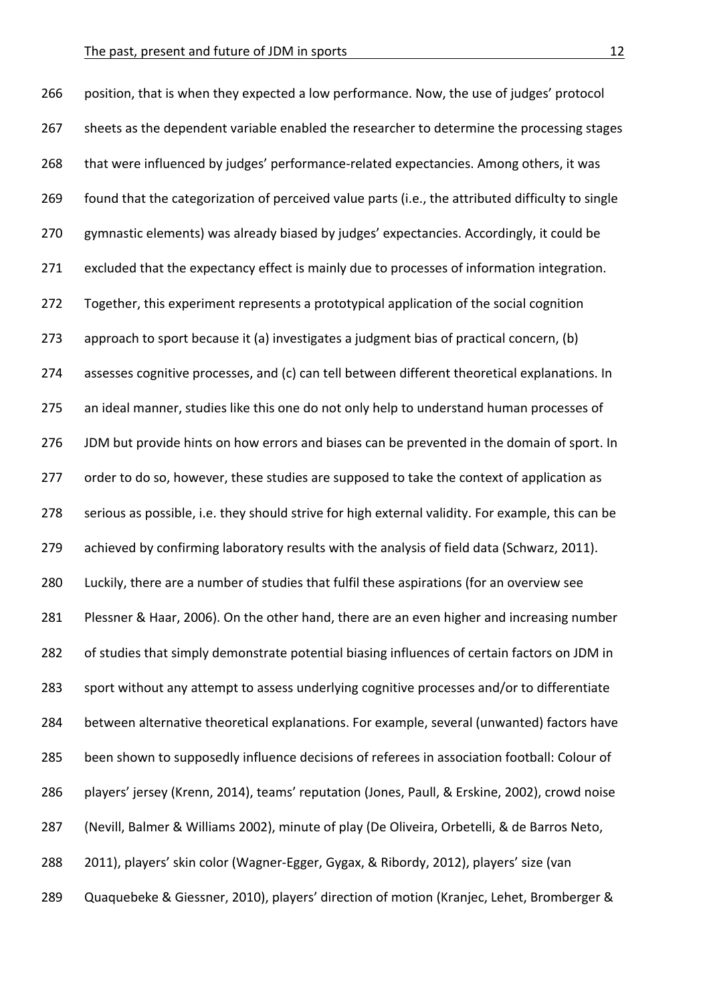266 position, that is when they expected a low performance. Now, the use of judges' protocol 267 sheets as the dependent variable enabled the researcher to determine the processing stages 268 that were influenced by judges' performance-related expectancies. Among others, it was 269 found that the categorization of perceived value parts (i.e., the attributed difficulty to single 270 gymnastic elements) was already biased by judges' expectancies. Accordingly, it could be 271 excluded that the expectancy effect is mainly due to processes of information integration. 272 Together, this experiment represents a prototypical application of the social cognition 273 approach to sport because it (a) investigates a judgment bias of practical concern, (b) 274 assesses cognitive processes, and (c) can tell between different theoretical explanations. In 275 an ideal manner, studies like this one do not only help to understand human processes of 276 JDM but provide hints on how errors and biases can be prevented in the domain of sport. In 277 order to do so, however, these studies are supposed to take the context of application as 278 serious as possible, i.e. they should strive for high external validity. For example, this can be 279 achieved by confirming laboratory results with the analysis of field data (Schwarz, 2011). 280 Luckily, there are a number of studies that fulfil these aspirations (for an overview see 281 Plessner & Haar, 2006). On the other hand, there are an even higher and increasing number 282 of studies that simply demonstrate potential biasing influences of certain factors on JDM in 283 sport without any attempt to assess underlying cognitive processes and/or to differentiate 284 between alternative theoretical explanations. For example, several (unwanted) factors have 285 been shown to supposedly influence decisions of referees in association football: Colour of 286 players' jersey (Krenn, 2014), teams' reputation (Jones, Paull, & Erskine, 2002), crowd noise 287 (Nevill, Balmer & Williams 2002), minute of play (De Oliveira, Orbetelli, & de Barros Neto, 288 2011), players' skin color (Wagner-Egger, Gygax, & Ribordy, 2012), players' size (van 289 Quaquebeke & Giessner, 2010), players' direction of motion (Kranjec, Lehet, Bromberger &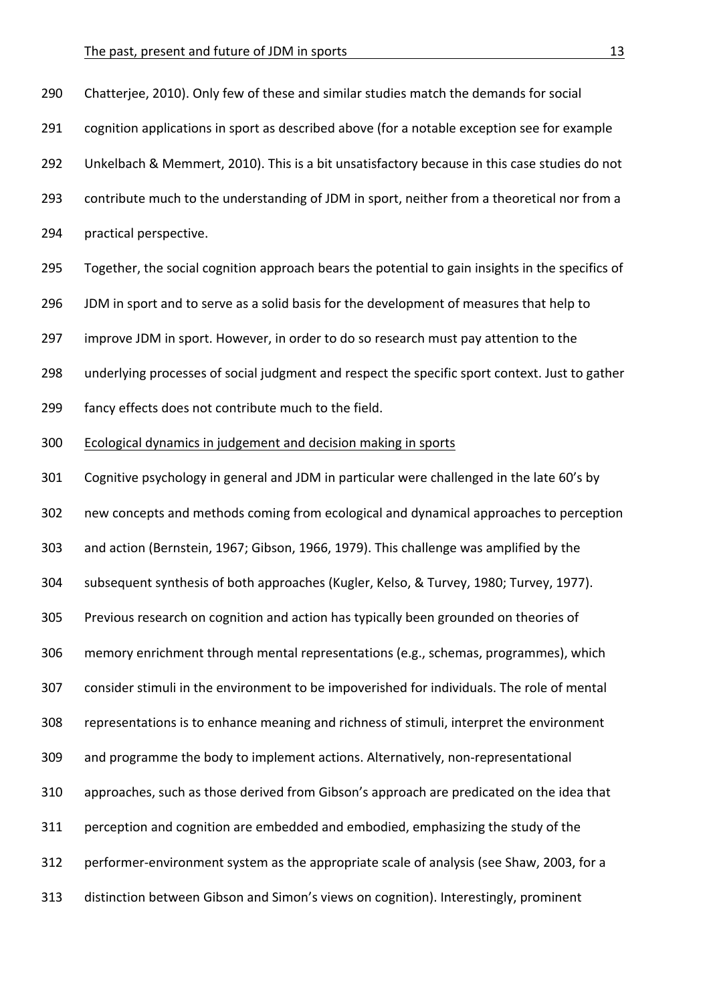| 290 | Chatterjee, 2010). Only few of these and similar studies match the demands for social            |
|-----|--------------------------------------------------------------------------------------------------|
| 291 | cognition applications in sport as described above (for a notable exception see for example      |
| 292 | Unkelbach & Memmert, 2010). This is a bit unsatisfactory because in this case studies do not     |
| 293 | contribute much to the understanding of JDM in sport, neither from a theoretical nor from a      |
| 294 | practical perspective.                                                                           |
| 295 | Together, the social cognition approach bears the potential to gain insights in the specifics of |
| 296 | JDM in sport and to serve as a solid basis for the development of measures that help to          |
| 297 | improve JDM in sport. However, in order to do so research must pay attention to the              |
| 298 | underlying processes of social judgment and respect the specific sport context. Just to gather   |
| 299 | fancy effects does not contribute much to the field.                                             |
| 300 | Ecological dynamics in judgement and decision making in sports                                   |
| 301 | Cognitive psychology in general and JDM in particular were challenged in the late 60's by        |
| 302 | new concepts and methods coming from ecological and dynamical approaches to perception           |
| 303 | and action (Bernstein, 1967; Gibson, 1966, 1979). This challenge was amplified by the            |
| 304 | subsequent synthesis of both approaches (Kugler, Kelso, & Turvey, 1980; Turvey, 1977).           |
| 305 | Previous research on cognition and action has typically been grounded on theories of             |
| 306 | memory enrichment through mental representations (e.g., schemas, programmes), which              |
| 307 | consider stimuli in the environment to be impoverished for individuals. The role of mental       |
| 308 | representations is to enhance meaning and richness of stimuli, interpret the environment         |
| 309 | and programme the body to implement actions. Alternatively, non-representational                 |
| 310 | approaches, such as those derived from Gibson's approach are predicated on the idea that         |
| 311 | perception and cognition are embedded and embodied, emphasizing the study of the                 |
| 312 | performer-environment system as the appropriate scale of analysis (see Shaw, 2003, for a         |
| 313 | distinction between Gibson and Simon's views on cognition). Interestingly, prominent             |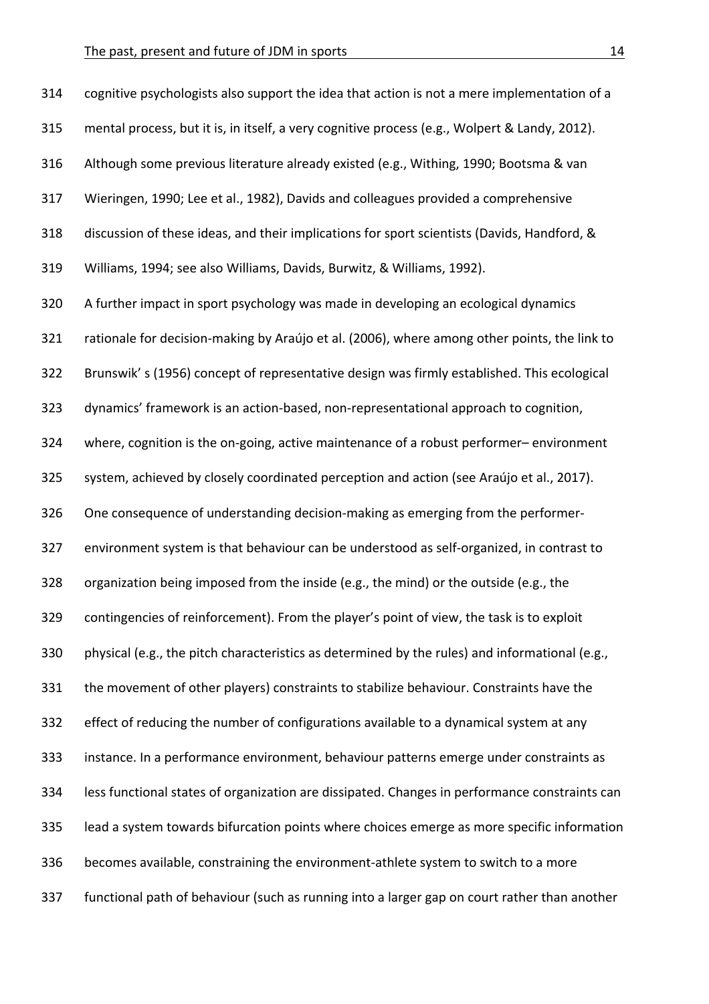| 314 | cognitive psychologists also support the idea that action is not a mere implementation of a    |
|-----|------------------------------------------------------------------------------------------------|
| 315 | mental process, but it is, in itself, a very cognitive process (e.g., Wolpert & Landy, 2012).  |
| 316 | Although some previous literature already existed (e.g., Withing, 1990; Bootsma & van          |
| 317 | Wieringen, 1990; Lee et al., 1982), Davids and colleagues provided a comprehensive             |
| 318 | discussion of these ideas, and their implications for sport scientists (Davids, Handford, &    |
| 319 | Williams, 1994; see also Williams, Davids, Burwitz, & Williams, 1992).                         |
| 320 | A further impact in sport psychology was made in developing an ecological dynamics             |
| 321 | rationale for decision-making by Araújo et al. (2006), where among other points, the link to   |
| 322 | Brunswik's (1956) concept of representative design was firmly established. This ecological     |
| 323 | dynamics' framework is an action-based, non-representational approach to cognition,            |
| 324 | where, cognition is the on-going, active maintenance of a robust performer-environment         |
| 325 | system, achieved by closely coordinated perception and action (see Araújo et al., 2017).       |
| 326 | One consequence of understanding decision-making as emerging from the performer-               |
| 327 | environment system is that behaviour can be understood as self-organized, in contrast to       |
| 328 | organization being imposed from the inside (e.g., the mind) or the outside (e.g., the          |
| 329 | contingencies of reinforcement). From the player's point of view, the task is to exploit       |
| 330 | physical (e.g., the pitch characteristics as determined by the rules) and informational (e.g., |
| 331 | the movement of other players) constraints to stabilize behaviour. Constraints have the        |
| 332 | effect of reducing the number of configurations available to a dynamical system at any         |
| 333 | instance. In a performance environment, behaviour patterns emerge under constraints as         |
| 334 | less functional states of organization are dissipated. Changes in performance constraints can  |
| 335 | lead a system towards bifurcation points where choices emerge as more specific information     |
| 336 | becomes available, constraining the environment-athlete system to switch to a more             |
| 337 | functional path of behaviour (such as running into a larger gap on court rather than another   |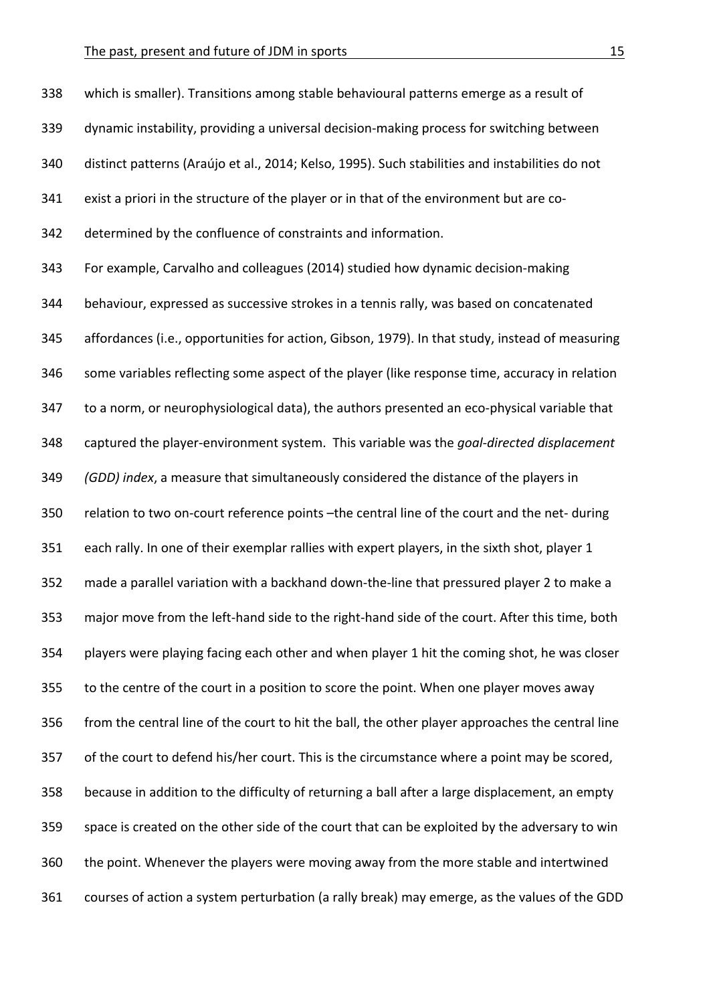338 which is smaller). Transitions among stable behavioural patterns emerge as a result of 339 dynamic instability, providing a universal decision-making process for switching between 340 distinct patterns (Araújo et al., 2014; Kelso, 1995). Such stabilities and instabilities do not 341 exist a priori in the structure of the player or in that of the environment but are co-342 determined by the confluence of constraints and information. 343 For example, Carvalho and colleagues (2014) studied how dynamic decision-making 344 behaviour, expressed as successive strokes in a tennis rally, was based on concatenated 345 affordances (i.e., opportunities for action, Gibson, 1979). In that study, instead of measuring 346 some variables reflecting some aspect of the player (like response time, accuracy in relation 347 to a norm, or neurophysiological data), the authors presented an eco-physical variable that 348 captured the player-environment system. This variable was the *goal-directed displacement* 349 *(GDD)* index, a measure that simultaneously considered the distance of the players in 350 relation to two on-court reference points -the central line of the court and the net- during 351 each rally. In one of their exemplar rallies with expert players, in the sixth shot, player 1 352 made a parallel variation with a backhand down-the-line that pressured player 2 to make a 353 major move from the left-hand side to the right-hand side of the court. After this time, both 354 players were playing facing each other and when player 1 hit the coming shot, he was closer 355 to the centre of the court in a position to score the point. When one player moves away 356 from the central line of the court to hit the ball, the other player approaches the central line 357 of the court to defend his/her court. This is the circumstance where a point may be scored, 358 because in addition to the difficulty of returning a ball after a large displacement, an empty 359 space is created on the other side of the court that can be exploited by the adversary to win 360 the point. Whenever the players were moving away from the more stable and intertwined 361 courses of action a system perturbation (a rally break) may emerge, as the values of the GDD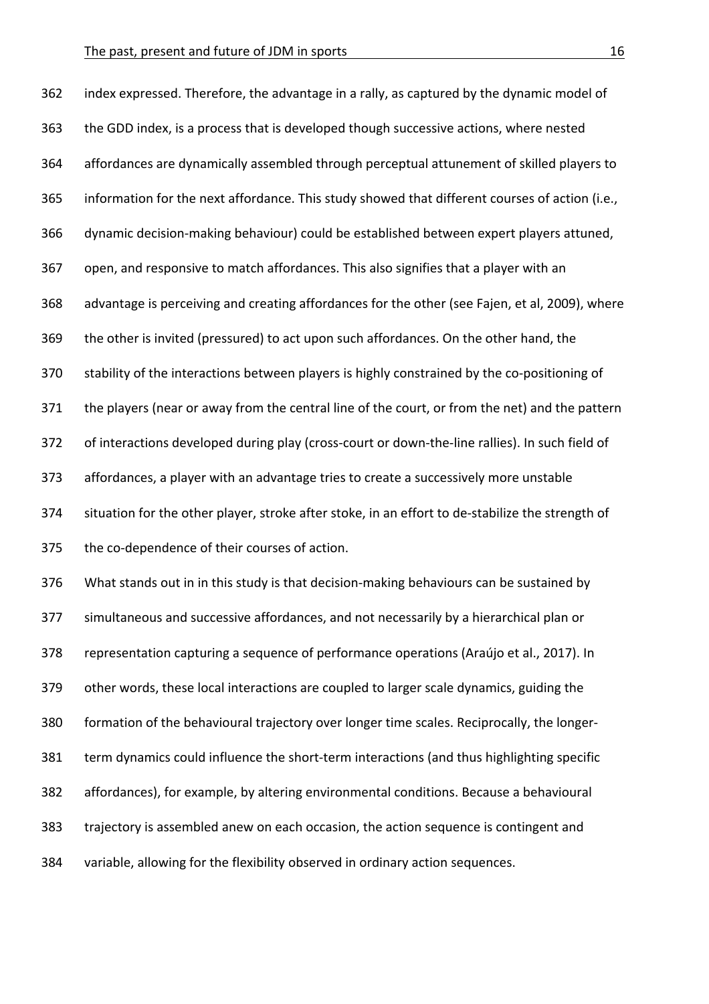362 index expressed. Therefore, the advantage in a rally, as captured by the dynamic model of 363 the GDD index, is a process that is developed though successive actions, where nested 364 affordances are dynamically assembled through perceptual attunement of skilled players to 365 information for the next affordance. This study showed that different courses of action (i.e., 366 dynamic decision-making behaviour) could be established between expert players attuned, 367 open, and responsive to match affordances. This also signifies that a player with an 368 advantage is perceiving and creating affordances for the other (see Fajen, et al, 2009), where 369 the other is invited (pressured) to act upon such affordances. On the other hand, the 370 stability of the interactions between players is highly constrained by the co-positioning of 371 the players (near or away from the central line of the court, or from the net) and the pattern 372 of interactions developed during play (cross-court or down-the-line rallies). In such field of 373 affordances, a player with an advantage tries to create a successively more unstable 374 situation for the other player, stroke after stoke, in an effort to de-stabilize the strength of 375 the co-dependence of their courses of action. 376 What stands out in in this study is that decision-making behaviours can be sustained by

377 simultaneous and successive affordances, and not necessarily by a hierarchical plan or 378 representation capturing a sequence of performance operations (Araújo et al., 2017). In 379 other words, these local interactions are coupled to larger scale dynamics, guiding the 380 formation of the behavioural trajectory over longer time scales. Reciprocally, the longer-381 term dynamics could influence the short-term interactions (and thus highlighting specific 382 affordances), for example, by altering environmental conditions. Because a behavioural 383 trajectory is assembled anew on each occasion, the action sequence is contingent and 384 variable, allowing for the flexibility observed in ordinary action sequences.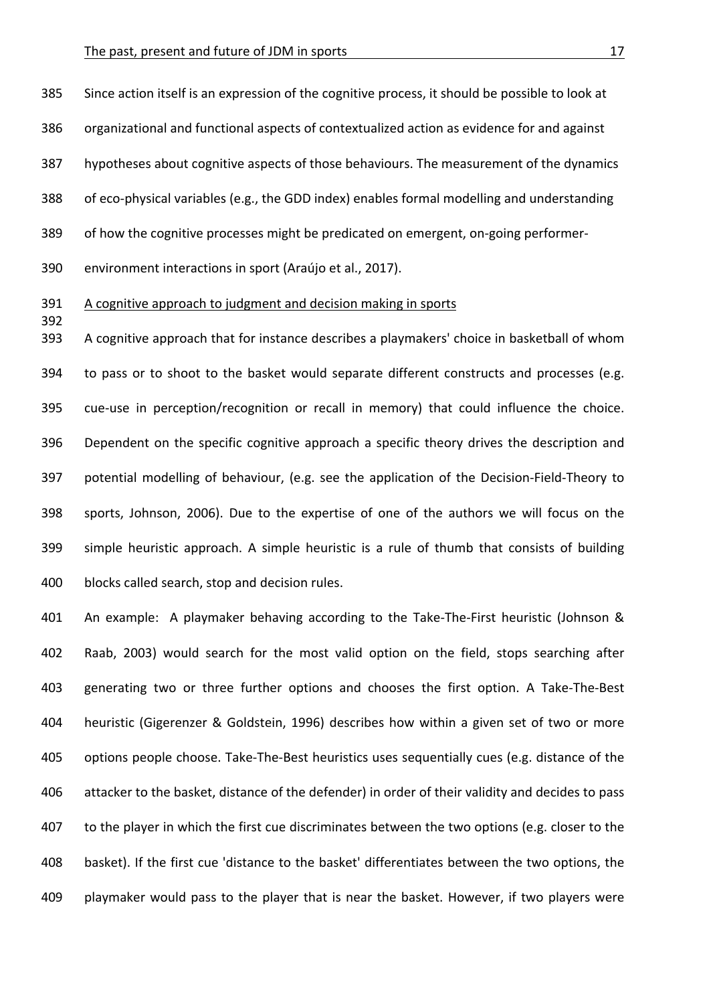385 Since action itself is an expression of the cognitive process, it should be possible to look at 386 organizational and functional aspects of contextualized action as evidence for and against 387 hypotheses about cognitive aspects of those behaviours. The measurement of the dynamics 388 of eco-physical variables (e.g., the GDD index) enables formal modelling and understanding 389 of how the cognitive processes might be predicated on emergent, on-going performer-

390 environment interactions in sport (Araújo et al., 2017).

392

## 391 A cognitive approach to judgment and decision making in sports

393 A cognitive approach that for instance describes a playmakers' choice in basketball of whom 394 to pass or to shoot to the basket would separate different constructs and processes (e.g. 395 cue-use in perception/recognition or recall in memory) that could influence the choice. 396 Dependent on the specific cognitive approach a specific theory drives the description and 397 potential modelling of behaviour, (e.g. see the application of the Decision-Field-Theory to 398 sports, Johnson, 2006). Due to the expertise of one of the authors we will focus on the 399 simple heuristic approach. A simple heuristic is a rule of thumb that consists of building 400 blocks called search, stop and decision rules.

401 An example: A playmaker behaving according to the Take-The-First heuristic (Johnson & 402 Raab, 2003) would search for the most valid option on the field, stops searching after 403 generating two or three further options and chooses the first option. A Take-The-Best 404 heuristic (Gigerenzer & Goldstein, 1996) describes how within a given set of two or more 405 options people choose. Take-The-Best heuristics uses sequentially cues (e.g. distance of the 406 attacker to the basket, distance of the defender) in order of their validity and decides to pass 407 to the player in which the first cue discriminates between the two options (e.g. closer to the 408 basket). If the first cue 'distance to the basket' differentiates between the two options, the 409 playmaker would pass to the player that is near the basket. However, if two players were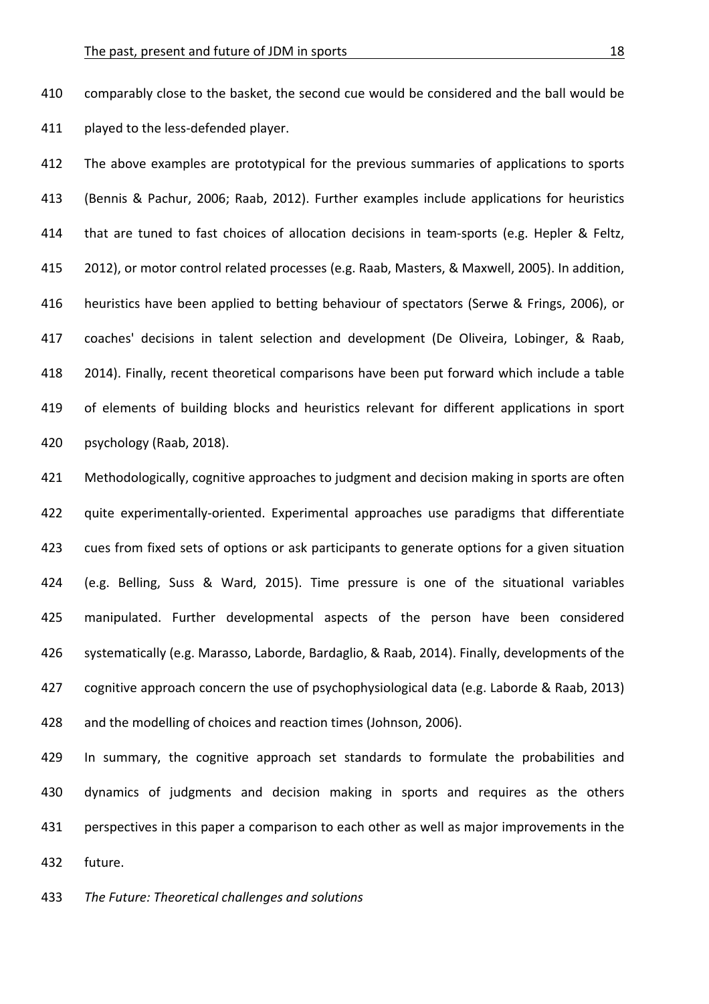410 comparably close to the basket, the second cue would be considered and the ball would be 411 played to the less-defended player.

412 The above examples are prototypical for the previous summaries of applications to sports 413 (Bennis & Pachur, 2006; Raab, 2012). Further examples include applications for heuristics 414 that are tuned to fast choices of allocation decisions in team-sports (e.g. Hepler & Feltz, 415 2012), or motor control related processes (e.g. Raab, Masters, & Maxwell, 2005). In addition, 416 heuristics have been applied to betting behaviour of spectators (Serwe & Frings, 2006), or 417 coaches' decisions in talent selection and development (De Oliveira, Lobinger, & Raab, 418 2014). Finally, recent theoretical comparisons have been put forward which include a table 419 of elements of building blocks and heuristics relevant for different applications in sport 420 psychology (Raab, 2018).

421 Methodologically, cognitive approaches to judgment and decision making in sports are often 422 quite experimentally-oriented. Experimental approaches use paradigms that differentiate 423 cues from fixed sets of options or ask participants to generate options for a given situation 424 (e.g. Belling, Suss & Ward, 2015). Time pressure is one of the situational variables 425 manipulated. Further developmental aspects of the person have been considered 426 systematically (e.g. Marasso, Laborde, Bardaglio, & Raab, 2014). Finally, developments of the 427 cognitive approach concern the use of psychophysiological data (e.g. Laborde & Raab, 2013) 428 and the modelling of choices and reaction times (Johnson, 2006).

429 In summary, the cognitive approach set standards to formulate the probabilities and 430 dynamics of judgments and decision making in sports and requires as the others 431 perspectives in this paper a comparison to each other as well as major improvements in the 432 future.

433 The Future: Theoretical challenges and solutions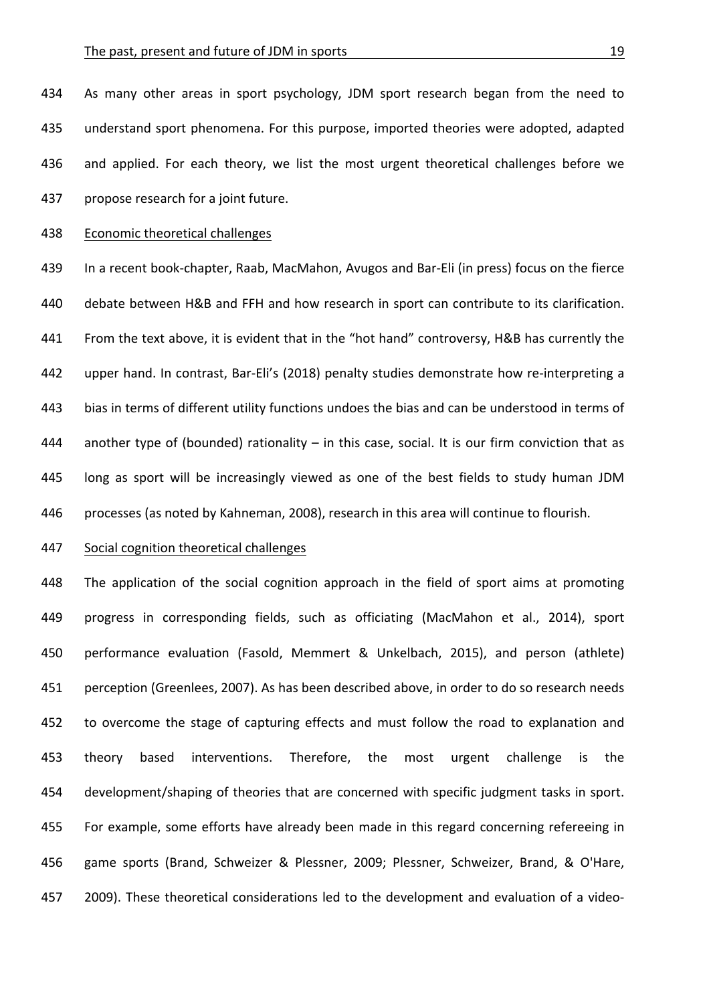434 As many other areas in sport psychology, JDM sport research began from the need to 435 understand sport phenomena. For this purpose, imported theories were adopted, adapted 436 and applied. For each theory, we list the most urgent theoretical challenges before we 437 propose research for a joint future.

### 438 Economic theoretical challenges

439 In a recent book-chapter, Raab, MacMahon, Avugos and Bar-Eli (in press) focus on the fierce 440 debate between H&B and FFH and how research in sport can contribute to its clarification. 441 From the text above, it is evident that in the "hot hand" controversy, H&B has currently the 442 upper hand. In contrast, Bar-Eli's (2018) penalty studies demonstrate how re-interpreting a 443 bias in terms of different utility functions undoes the bias and can be understood in terms of 444 another type of (bounded) rationality  $-$  in this case, social. It is our firm conviction that as 445 long as sport will be increasingly viewed as one of the best fields to study human JDM 446 processes (as noted by Kahneman, 2008), research in this area will continue to flourish.

# 447 Social cognition theoretical challenges

448 The application of the social cognition approach in the field of sport aims at promoting 449 progress in corresponding fields, such as officiating (MacMahon et al., 2014), sport 450 performance evaluation (Fasold, Memmert & Unkelbach, 2015), and person (athlete) 451 perception (Greenlees, 2007). As has been described above, in order to do so research needs 452 to overcome the stage of capturing effects and must follow the road to explanation and 453 theory based interventions. Therefore, the most urgent challenge is the 454 development/shaping of theories that are concerned with specific judgment tasks in sport. 455 For example, some efforts have already been made in this regard concerning refereeing in 456 game sports (Brand, Schweizer & Plessner, 2009; Plessner, Schweizer, Brand, & O'Hare, 457 2009). These theoretical considerations led to the development and evaluation of a video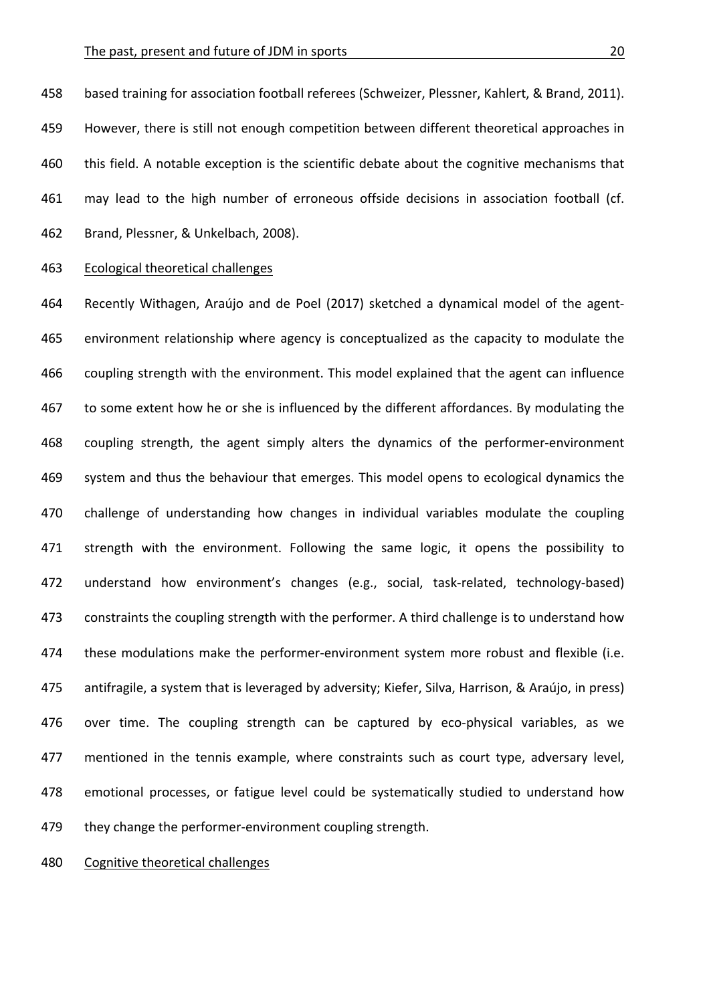458 based training for association football referees (Schweizer, Plessner, Kahlert, & Brand, 2011). 459 However, there is still not enough competition between different theoretical approaches in 460 this field. A notable exception is the scientific debate about the cognitive mechanisms that 461 may lead to the high number of erroneous offside decisions in association football (cf. 462 Brand, Plessner, & Unkelbach, 2008).

463 Ecological theoretical challenges

464 Recently Withagen, Araújo and de Poel (2017) sketched a dynamical model of the agent-465 environment relationship where agency is conceptualized as the capacity to modulate the 466 coupling strength with the environment. This model explained that the agent can influence 467 to some extent how he or she is influenced by the different affordances. By modulating the 468 coupling strength, the agent simply alters the dynamics of the performer-environment 469 system and thus the behaviour that emerges. This model opens to ecological dynamics the 470 challenge of understanding how changes in individual variables modulate the coupling 471 strength with the environment. Following the same logic, it opens the possibility to 472 understand how environment's changes (e.g., social, task-related, technology-based) 473 constraints the coupling strength with the performer. A third challenge is to understand how 474 these modulations make the performer-environment system more robust and flexible (i.e. 475 antifragile, a system that is leveraged by adversity; Kiefer, Silva, Harrison, & Araújo, in press) 476 over time. The coupling strength can be captured by eco-physical variables, as we 477 mentioned in the tennis example, where constraints such as court type, adversary level, 478 emotional processes, or fatigue level could be systematically studied to understand how 479 they change the performer-environment coupling strength.

480 Cognitive theoretical challenges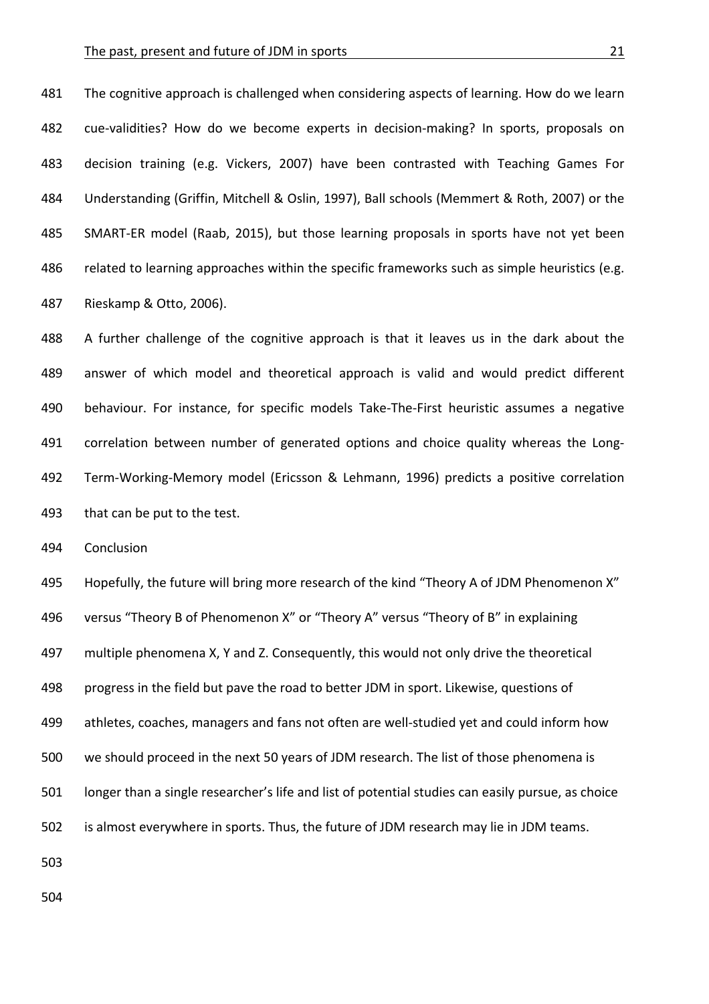#### The past, present and future of JDM in sports 21

481 The cognitive approach is challenged when considering aspects of learning. How do we learn 482 cue-validities? How do we become experts in decision-making? In sports, proposals on 483 decision training (e.g. Vickers, 2007) have been contrasted with Teaching Games For 484 Understanding (Griffin, Mitchell & Oslin, 1997), Ball schools (Memmert & Roth, 2007) or the 485 SMART-ER model (Raab, 2015), but those learning proposals in sports have not yet been 486 related to learning approaches within the specific frameworks such as simple heuristics (e.g. 487 Rieskamp & Otto, 2006).

488 A further challenge of the cognitive approach is that it leaves us in the dark about the 489 answer of which model and theoretical approach is valid and would predict different 490 behaviour. For instance, for specific models Take-The-First heuristic assumes a negative 491 correlation between number of generated options and choice quality whereas the Long-492 Term-Working-Memory model (Ericsson & Lehmann, 1996) predicts a positive correlation 493 that can be put to the test.

494 Conclusion

495 Hopefully, the future will bring more research of the kind "Theory A of JDM Phenomenon X" 496 versus "Theory B of Phenomenon X" or "Theory A" versus "Theory of B" in explaining 497 multiple phenomena X, Y and Z. Consequently, this would not only drive the theoretical 498 progress in the field but pave the road to better JDM in sport. Likewise, questions of 499 athletes, coaches, managers and fans not often are well-studied yet and could inform how 500 we should proceed in the next 50 years of JDM research. The list of those phenomena is 501 longer than a single researcher's life and list of potential studies can easily pursue, as choice 502 is almost everywhere in sports. Thus, the future of JDM research may lie in JDM teams. 503

504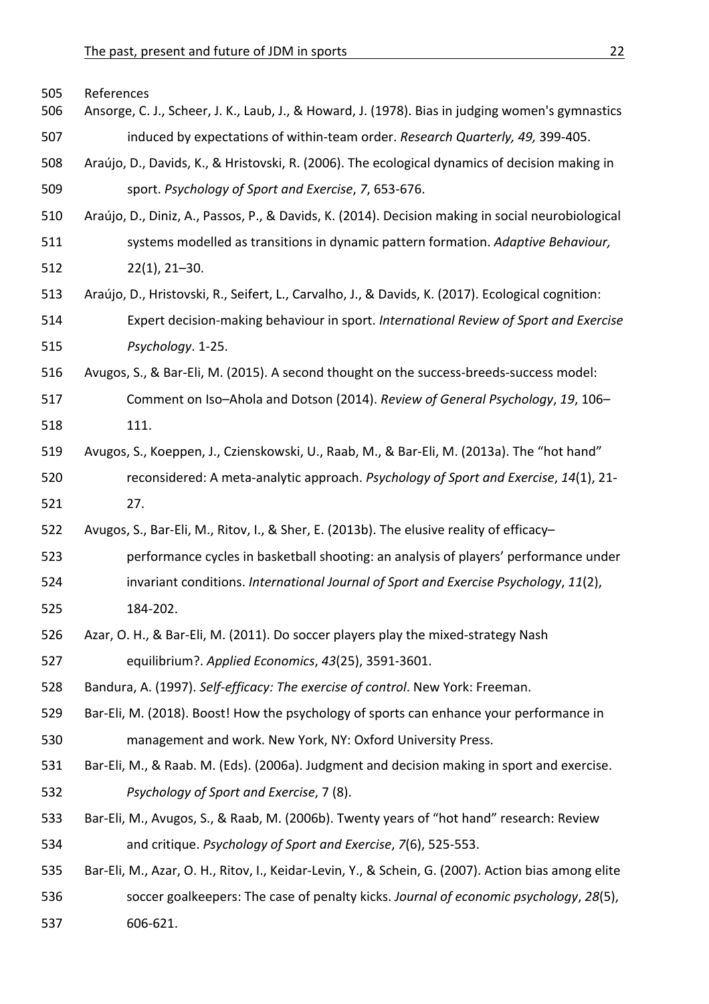| 505<br>506 | References<br>Ansorge, C. J., Scheer, J. K., Laub, J., & Howard, J. (1978). Bias in judging women's gymnastics |
|------------|----------------------------------------------------------------------------------------------------------------|
| 507        | induced by expectations of within-team order. Research Quarterly, 49, 399-405.                                 |
| 508        | Araújo, D., Davids, K., & Hristovski, R. (2006). The ecological dynamics of decision making in                 |
| 509        | sport. Psychology of Sport and Exercise, 7, 653-676.                                                           |
| 510        | Araújo, D., Diniz, A., Passos, P., & Davids, K. (2014). Decision making in social neurobiological              |
| 511        | systems modelled as transitions in dynamic pattern formation. Adaptive Behaviour,                              |
| 512        | $22(1)$ , $21-30$ .                                                                                            |
| 513        | Araújo, D., Hristovski, R., Seifert, L., Carvalho, J., & Davids, K. (2017). Ecological cognition:              |
| 514        | Expert decision-making behaviour in sport. International Review of Sport and Exercise                          |
| 515        | Psychology. 1-25.                                                                                              |
| 516        | Avugos, S., & Bar-Eli, M. (2015). A second thought on the success-breeds-success model:                        |
| 517        | Comment on Iso-Ahola and Dotson (2014). Review of General Psychology, 19, 106-                                 |
| 518        | 111.                                                                                                           |
| 519        | Avugos, S., Koeppen, J., Czienskowski, U., Raab, M., & Bar-Eli, M. (2013a). The "hot hand"                     |
| 520        | reconsidered: A meta-analytic approach. Psychology of Sport and Exercise, 14(1), 21-                           |
| 521        | 27.                                                                                                            |
| 522        | Avugos, S., Bar-Eli, M., Ritov, I., & Sher, E. (2013b). The elusive reality of efficacy-                       |
| 523        | performance cycles in basketball shooting: an analysis of players' performance under                           |
| 524        | invariant conditions. International Journal of Sport and Exercise Psychology, 11(2),                           |
| 525        | 184-202.                                                                                                       |
| 526        | Azar, O. H., & Bar-Eli, M. (2011). Do soccer players play the mixed-strategy Nash                              |
| 527        | equilibrium?. Applied Economics, 43(25), 3591-3601.                                                            |
| 528        | Bandura, A. (1997). Self-efficacy: The exercise of control. New York: Freeman.                                 |
| 529        | Bar-Eli, M. (2018). Boost! How the psychology of sports can enhance your performance in                        |
| 530        | management and work. New York, NY: Oxford University Press.                                                    |
| 531        | Bar-Eli, M., & Raab. M. (Eds). (2006a). Judgment and decision making in sport and exercise.                    |
| 532        | Psychology of Sport and Exercise, 7 (8).                                                                       |
| 533        | Bar-Eli, M., Avugos, S., & Raab, M. (2006b). Twenty years of "hot hand" research: Review                       |
| 534        | and critique. Psychology of Sport and Exercise, 7(6), 525-553.                                                 |
| 535        | Bar-Eli, M., Azar, O. H., Ritov, I., Keidar-Levin, Y., & Schein, G. (2007). Action bias among elite            |
| 536        | soccer goalkeepers: The case of penalty kicks. Journal of economic psychology, 28(5),                          |
| 537        | 606-621.                                                                                                       |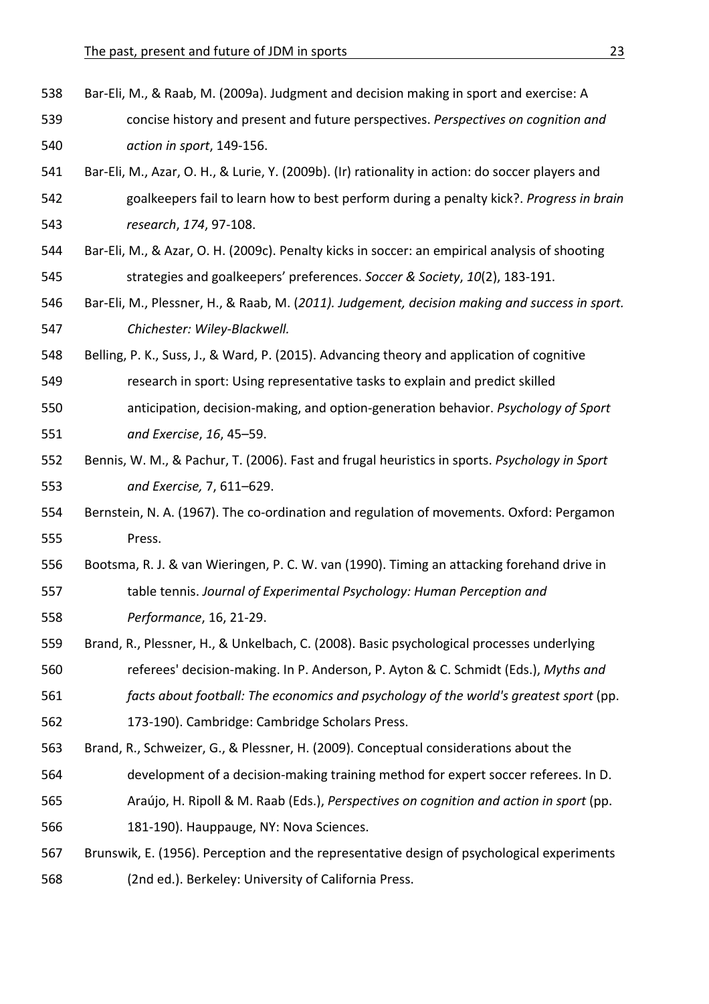- 538 Bar-Eli, M., & Raab, M. (2009a). Judgment and decision making in sport and exercise: A
- 539 concise history and present and future perspectives. *Perspectives on cognition and* 540 *action in sport*, 149-156.
- 541 Bar-Eli, M., Azar, O. H., & Lurie, Y. (2009b). (Ir) rationality in action: do soccer players and 542 goalkeepers fail to learn how to best perform during a penalty kick?. *Progress in brain* 543 *research*, *174*, 97-108.
- 544 Bar-Eli, M., & Azar, O. H. (2009c). Penalty kicks in soccer: an empirical analysis of shooting 545 strategies and goalkeepers' preferences. *Soccer & Society*, 10(2), 183-191.
- 546 Bar-Eli, M., Plessner, H., & Raab, M. (2011). Judgement, decision making and success in sport. 547 **Chichester:** Wiley-Blackwell.
- 548 Belling, P. K., Suss, J., & Ward, P. (2015). Advancing theory and application of cognitive
- 549 research in sport: Using representative tasks to explain and predict skilled
- 550 anticipation, decision-making, and option-generation behavior. *Psychology of Sport* 551 *and Exercise*, *16*, 45–59.
- 552 Bennis, W. M., & Pachur, T. (2006). Fast and frugal heuristics in sports. Psychology in Sport 553 *and Exercise,* 7, 611–629.
- 554 Bernstein, N. A. (1967). The co-ordination and regulation of movements. Oxford: Pergamon 555 Press.
- 556 Bootsma, R. J. & van Wieringen, P. C. W. van (1990). Timing an attacking forehand drive in 557 table tennis. Journal of Experimental Psychology: Human Perception and 558 *Performance*, 16, 21-29.
- 559 Brand, R., Plessner, H., & Unkelbach, C. (2008). Basic psychological processes underlying
- 560 referees' decision-making. In P. Anderson, P. Ayton & C. Schmidt (Eds.), Myths and
- 561 *facts about football:* The economics and psychology of the world's greatest sport (pp. 562 173-190). Cambridge: Cambridge Scholars Press.
- 563 Brand, R., Schweizer, G., & Plessner, H. (2009). Conceptual considerations about the
- 564 development of a decision-making training method for expert soccer referees. In D.
- 565 Araújo, H. Ripoll & M. Raab (Eds.), *Perspectives on cognition and action in sport* (pp.
- 566 181-190). Hauppauge, NY: Nova Sciences.
- 567 Brunswik, E. (1956). Perception and the representative design of psychological experiments 568 (2nd ed.). Berkeley: University of California Press.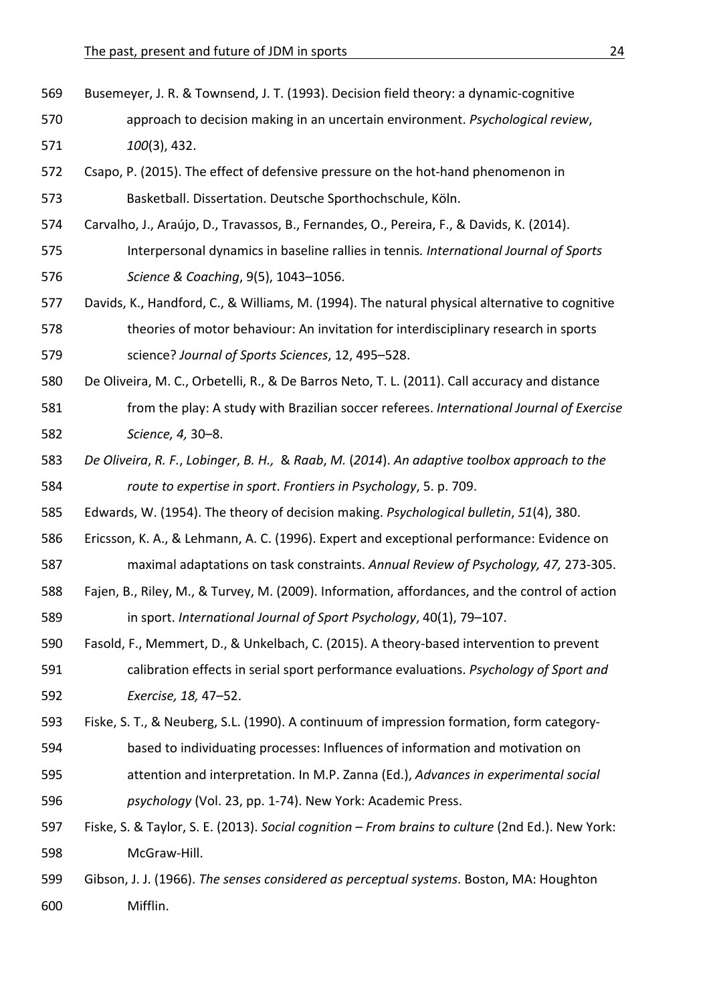- 569 Busemeyer, J. R. & Townsend, J. T. (1993). Decision field theory: a dynamic-cognitive 570 approach to decision making in an uncertain environment. *Psychological review*, 571 *100*(3), 432.
- 572 Csapo, P. (2015). The effect of defensive pressure on the hot-hand phenomenon in 573 Basketball. Dissertation. Deutsche Sporthochschule, Köln.
- 574 Carvalho, J., Araújo, D., Travassos, B., Fernandes, O., Pereira, F., & Davids, K. (2014).
- 575 Interpersonal dynamics in baseline rallies in tennis. *International Journal of Sports* 576 **Science & Coaching, 9(5), 1043-1056.**
- 577 Davids, K., Handford, C., & Williams, M. (1994). The natural physical alternative to cognitive 578 theories of motor behaviour: An invitation for interdisciplinary research in sports 579 science? *Journal of Sports Sciences*, 12, 495–528.
- 580 De Oliveira, M. C., Orbetelli, R., & De Barros Neto, T. L. (2011). Call accuracy and distance
- 581 from the play: A study with Brazilian soccer referees. *International Journal of Exercise* 582 *Science, 4,* 30–8.
- 583 De Oliveira, R. F., Lobinger, B. H., & Raab, M. (2014). An adaptive toolbox approach to the 584 *route to expertise in sport. Frontiers in Psychology*, 5. p. 709.
- 585 Edwards, W. (1954). The theory of decision making. *Psychological bulletin*, 51(4), 380.
- 586 Ericsson, K. A., & Lehmann, A. C. (1996). Expert and exceptional performance: Evidence on 587 maximal adaptations on task constraints. Annual Review of Psychology, 47, 273-305.
- 588 Fajen, B., Riley, M., & Turvey, M. (2009). Information, affordances, and the control of action 589 in sport. *International Journal of Sport Psychology*, 40(1), 79-107.
- 590 Fasold, F., Memmert, D., & Unkelbach, C. (2015). A theory-based intervention to prevent 591 calibration effects in serial sport performance evaluations. *Psychology of Sport and* 592 *Exercise, 18,* 47–52.
- 593 Fiske, S. T., & Neuberg, S.L. (1990). A continuum of impression formation, form category-
- 594 based to individuating processes: Influences of information and motivation on
- 595 attention and interpretation. In M.P. Zanna (Ed.), *Advances in experimental social* 596 *psychology* (Vol. 23, pp. 1-74). New York: Academic Press.
- 597 Fiske, S. & Taylor, S. E. (2013). Social cognition From brains to culture (2nd Ed.). New York: 598 McGraw-Hill.
- 599 Gibson, J. J. (1966). *The senses considered as perceptual systems*. Boston, MA: Houghton 600 Mifflin.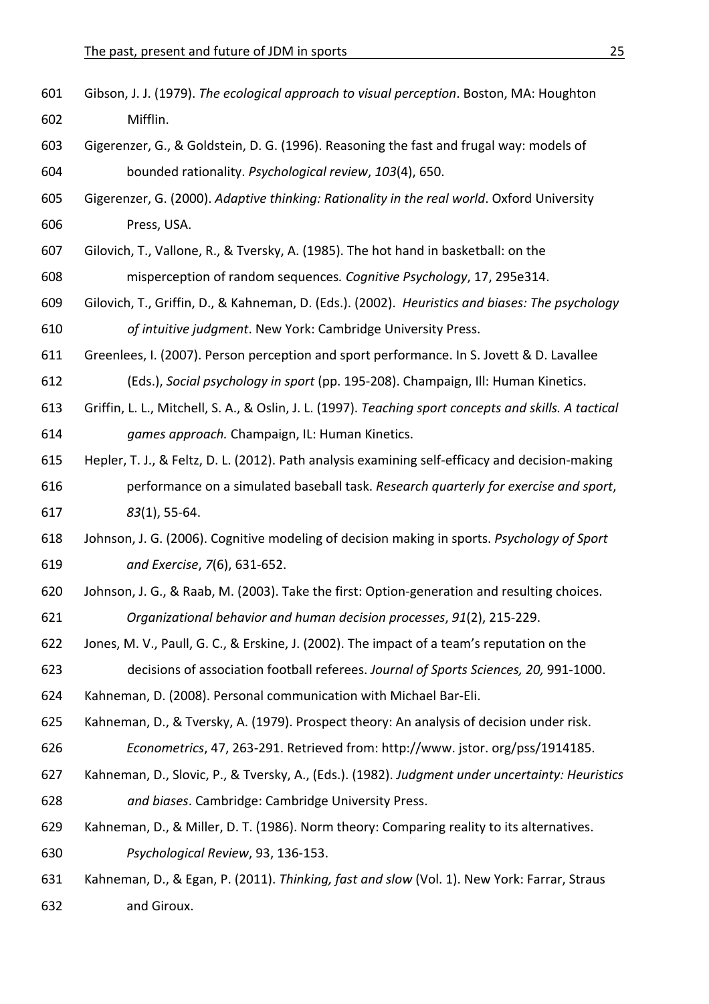- 601 Gibson, J. J. (1979). *The ecological approach to visual perception*. Boston, MA: Houghton 602 Mifflin. 603 Gigerenzer, G., & Goldstein, D. G. (1996). Reasoning the fast and frugal way: models of 604 bounded rationality. *Psychological review*, *103*(4), 650. 605 Gigerenzer, G. (2000). *Adaptive thinking: Rationality in the real world*. Oxford University 606 Press, USA. 607 Gilovich, T., Vallone, R., & Tversky, A. (1985). The hot hand in basketball: on the 608 misperception of random sequences. Cognitive Psychology, 17, 295e314. 609 Gilovich, T., Griffin, D., & Kahneman, D. (Eds.). (2002). *Heuristics and biases: The psychology* 610 of *intuitive judgment*. New York: Cambridge University Press. 611 Greenlees, I. (2007). Person perception and sport performance. In S. Jovett & D. Lavallee 612 (Eds.), *Social psychology in sport* (pp. 195-208). Champaign, Ill: Human Kinetics. 613 Griffin, L. L., Mitchell, S. A., & Oslin, J. L. (1997). *Teaching sport concepts and skills. A tactical* 614 *games approach.* Champaign, IL: Human Kinetics. 615 Hepler, T. J., & Feltz, D. L. (2012). Path analysis examining self-efficacy and decision-making 616 berformance on a simulated baseball task. *Research quarterly for exercise and sport*, 617 *83*(1), 55-64. 618 Johnson, J. G. (2006). Cognitive modeling of decision making in sports. Psychology of Sport 619 *and Exercise*, *7*(6), 631-652. 620 Johnson, J. G., & Raab, M. (2003). Take the first: Option-generation and resulting choices. 621 *Organizational behavior and human decision processes*, *91*(2), 215-229. 622 Jones, M. V., Paull, G. C., & Erskine, J. (2002). The impact of a team's reputation on the 623 decisions of association football referees. *Journal of Sports Sciences, 20, 991-1000*. 624 Kahneman, D. (2008). Personal communication with Michael Bar-Eli. 625 Kahneman, D., & Tversky, A. (1979). Prospect theory: An analysis of decision under risk. 626 *Econometrics*, 47, 263-291. Retrieved from: http://www. jstor. org/pss/1914185. 627 Kahneman, D., Slovic, P., & Tversky, A., (Eds.). (1982). Judgment under uncertainty: Heuristics 628 *and biases*. Cambridge: Cambridge University Press. 629 Kahneman, D., & Miller, D. T. (1986). Norm theory: Comparing reality to its alternatives. 630 *Psychological Review*, 93, 136-153. 631 Kahneman, D., & Egan, P. (2011). *Thinking, fast and slow* (Vol. 1). New York: Farrar, Straus
- 632 and Giroux.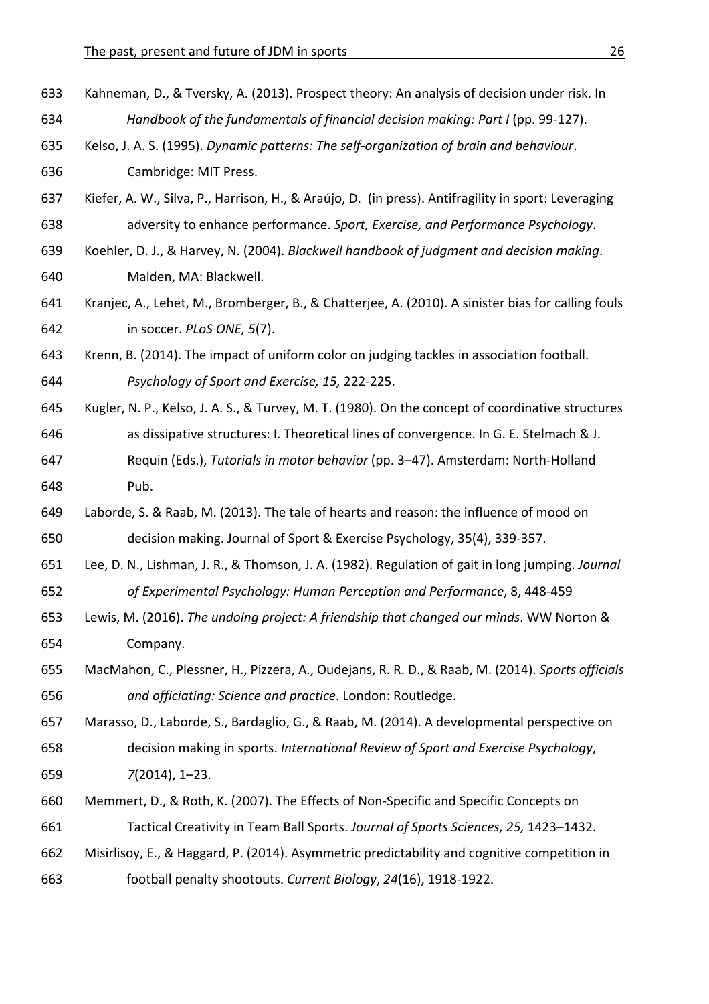633 Kahneman, D., & Tversky, A. (2013). Prospect theory: An analysis of decision under risk. In 634 *Handbook of the fundamentals of financial decision making: Part I* (pp. 99-127). 635 Kelso, J. A. S. (1995). *Dynamic patterns: The self-organization of brain and behaviour*. 636 **Cambridge: MIT Press.** 637 Kiefer, A. W., Silva, P., Harrison, H., & Araújo, D. (in press). Antifragility in sport: Leveraging 638 adversity to enhance performance. Sport, Exercise, and Performance Psychology. 639 Koehler, D. J., & Harvey, N. (2004). *Blackwell handbook of judgment and decision making*. 640 Malden, MA: Blackwell. 641 Kranjec, A., Lehet, M., Bromberger, B., & Chatterjee, A. (2010). A sinister bias for calling fouls 642 in soccer. *PLoS ONE, 5*(7). 643 Krenn, B. (2014). The impact of uniform color on judging tackles in association football. 644 *Psychology of Sport and Exercise, 15,* 222-225. 645 Kugler, N. P., Kelso, J. A. S., & Turvey, M. T. (1980). On the concept of coordinative structures 646 as dissipative structures: I. Theoretical lines of convergence. In G. E. Stelmach & J. 647 Requin (Eds.), *Tutorials in motor behavior* (pp. 3–47). Amsterdam: North-Holland 648 Pub. 649 Laborde, S. & Raab, M. (2013). The tale of hearts and reason: the influence of mood on 650 decision making. Journal of Sport & Exercise Psychology, 35(4), 339-357. 651 Lee, D. N., Lishman, J. R., & Thomson, J. A. (1982). Regulation of gait in long jumping. *Journal* 652 of Experimental Psychology: Human Perception and Performance, 8, 448-459 653 Lewis, M. (2016). *The undoing project: A friendship that changed our minds*. WW Norton & 654 Company. 655 MacMahon, C., Plessner, H., Pizzera, A., Oudejans, R. R. D., & Raab, M. (2014). Sports officials 656 *and officiating: Science and practice*. London: Routledge. 657 Marasso, D., Laborde, S., Bardaglio, G., & Raab, M. (2014). A developmental perspective on 658 decision making in sports. *International Review of Sport and Exercise Psychology*, 659 *7*(2014), 1–23. 660 Memmert, D., & Roth, K. (2007). The Effects of Non-Specific and Specific Concepts on 661 Tactical Creativity in Team Ball Sports. Journal of Sports Sciences, 25, 1423-1432. 662 Misirlisoy, E., & Haggard, P. (2014). Asymmetric predictability and cognitive competition in 663 football penalty shootouts. *Current Biology*, *24*(16), 1918-1922.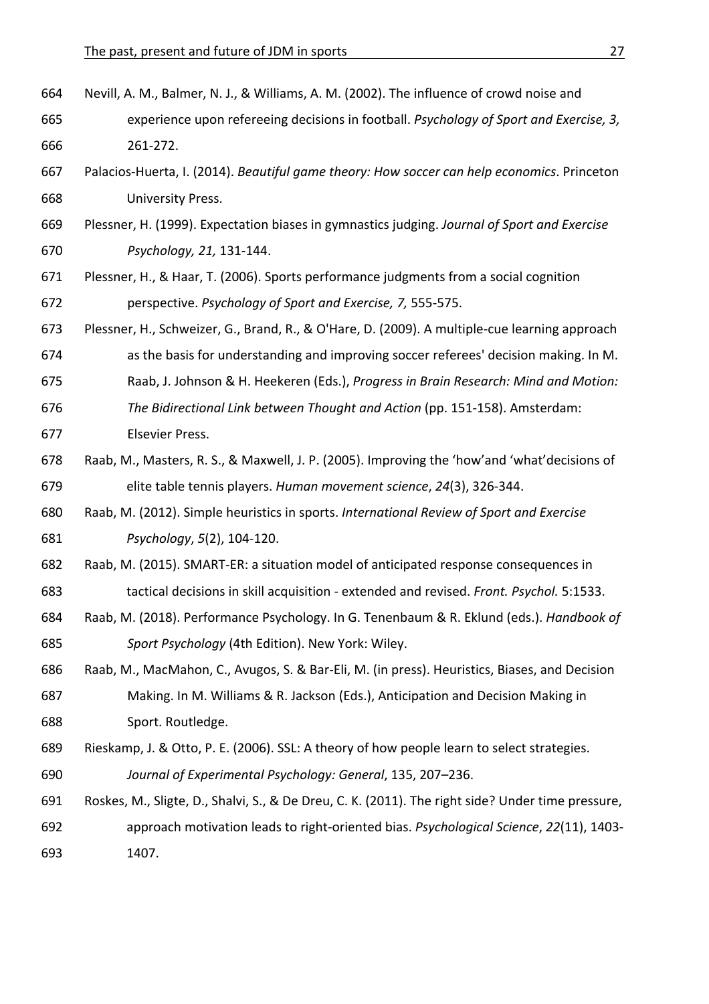| 664 | Nevill, A. M., Balmer, N. J., & Williams, A. M. (2002). The influence of crowd noise and          |
|-----|---------------------------------------------------------------------------------------------------|
| 665 | experience upon refereeing decisions in football. Psychology of Sport and Exercise, 3,            |
| 666 | 261-272.                                                                                          |
| 667 | Palacios-Huerta, I. (2014). Beautiful game theory: How soccer can help economics. Princeton       |
| 668 | University Press.                                                                                 |
| 669 | Plessner, H. (1999). Expectation biases in gymnastics judging. Journal of Sport and Exercise      |
| 670 | Psychology, 21, 131-144.                                                                          |
| 671 | Plessner, H., & Haar, T. (2006). Sports performance judgments from a social cognition             |
| 672 | perspective. Psychology of Sport and Exercise, 7, 555-575.                                        |
| 673 | Plessner, H., Schweizer, G., Brand, R., & O'Hare, D. (2009). A multiple-cue learning approach     |
| 674 | as the basis for understanding and improving soccer referees' decision making. In M.              |
| 675 | Raab, J. Johnson & H. Heekeren (Eds.), Progress in Brain Research: Mind and Motion:               |
| 676 | The Bidirectional Link between Thought and Action (pp. 151-158). Amsterdam:                       |
| 677 | Elsevier Press.                                                                                   |
| 678 | Raab, M., Masters, R. S., & Maxwell, J. P. (2005). Improving the 'how'and 'what'decisions of      |
| 679 | elite table tennis players. Human movement science, 24(3), 326-344.                               |
| 680 | Raab, M. (2012). Simple heuristics in sports. International Review of Sport and Exercise          |
| 681 | Psychology, 5(2), 104-120.                                                                        |
| 682 | Raab, M. (2015). SMART-ER: a situation model of anticipated response consequences in              |
| 683 | tactical decisions in skill acquisition - extended and revised. Front. Psychol. 5:1533.           |
| 684 | Raab, M. (2018). Performance Psychology. In G. Tenenbaum & R. Eklund (eds.). Handbook of          |
| 685 | Sport Psychology (4th Edition). New York: Wiley.                                                  |
| 686 | Raab, M., MacMahon, C., Avugos, S. & Bar-Eli, M. (in press). Heuristics, Biases, and Decision     |
| 687 | Making. In M. Williams & R. Jackson (Eds.), Anticipation and Decision Making in                   |
| 688 | Sport. Routledge.                                                                                 |
| 689 | Rieskamp, J. & Otto, P. E. (2006). SSL: A theory of how people learn to select strategies.        |
| 690 | Journal of Experimental Psychology: General, 135, 207-236.                                        |
| 691 | Roskes, M., Sligte, D., Shalvi, S., & De Dreu, C. K. (2011). The right side? Under time pressure, |
|     |                                                                                                   |

692 approach motivation leads to right-oriented bias. *Psychological Science*, 22(11), 1403-693 1407.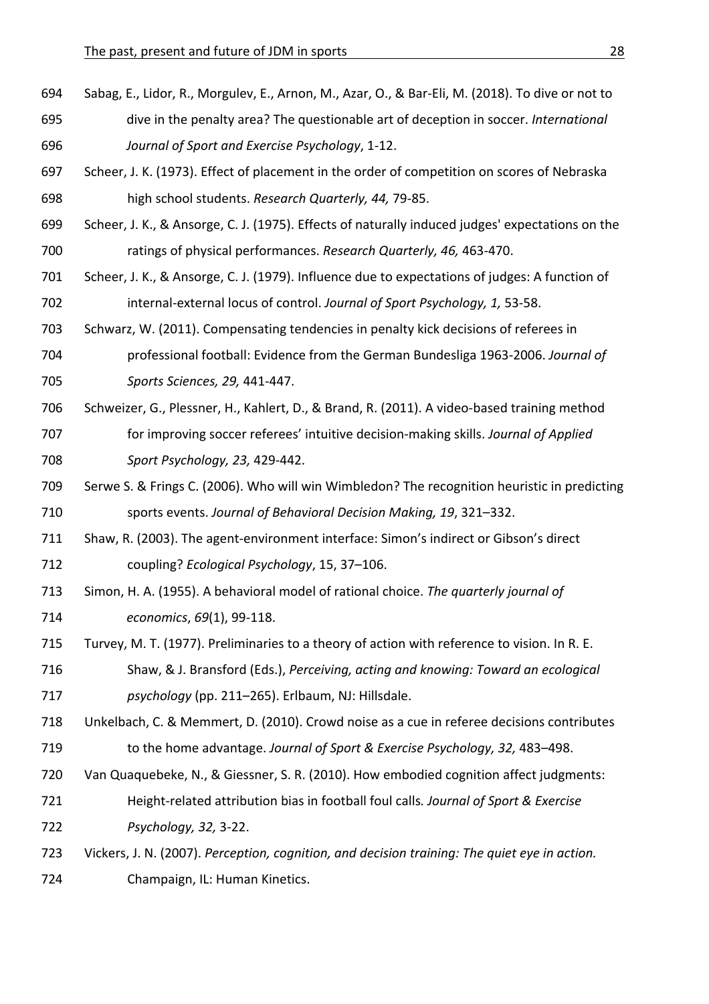- 694 Sabag, E., Lidor, R., Morgulev, E., Arnon, M., Azar, O., & Bar-Eli, M. (2018). To dive or not to 695 dive in the penalty area? The questionable art of deception in soccer. *International* 696 *Journal of Sport and Exercise Psychology*, 1-12.
- 697 Scheer, J. K. (1973). Effect of placement in the order of competition on scores of Nebraska 698 high school students. *Research Quarterly, 44, 79-85.*
- 699 Scheer, J. K., & Ansorge, C. J. (1975). Effects of naturally induced judges' expectations on the 700 ratings of physical performances. *Research Quarterly, 46, 463-470*.
- 701 Scheer, J. K., & Ansorge, C. J. (1979). Influence due to expectations of judges: A function of 702 internal-external locus of control. Journal of Sport Psychology, 1, 53-58.
- 703 Schwarz, W. (2011). Compensating tendencies in penalty kick decisions of referees in
- 704 professional football: Evidence from the German Bundesliga 1963-2006. Journal of 705 *Sports Sciences, 29,* 441-447.
- 706 Schweizer, G., Plessner, H., Kahlert, D., & Brand, R. (2011). A video-based training method 707 for improving soccer referees' intuitive decision-making skills. *Journal of Applied* 708 *Sport Psychology, 23,* 429-442.
- 709 Serwe S. & Frings C. (2006). Who will win Wimbledon? The recognition heuristic in predicting 710 sports events. Journal of Behavioral Decision Making, 19, 321–332.
- 711 Shaw, R. (2003). The agent-environment interface: Simon's indirect or Gibson's direct 712 coupling? *Ecological Psychology*, 15, 37–106.
- 713 Simon, H. A. (1955). A behavioral model of rational choice. The quarterly journal of 714 *economics*, 69(1), 99-118.
- 715 Turvey, M. T. (1977). Preliminaries to a theory of action with reference to vision. In R. E.
- 716 Shaw, & J. Bransford (Eds.), *Perceiving, acting and knowing: Toward an ecological* 717 *psychology* (pp. 211–265). Erlbaum, NJ: Hillsdale.
- 718 Unkelbach, C. & Memmert, D. (2010). Crowd noise as a cue in referee decisions contributes 719 to the home advantage. *Journal of Sport & Exercise Psychology, 32, 483-498*.
- 720 Van Quaquebeke, N., & Giessner, S. R. (2010). How embodied cognition affect judgments:
- 721 Height-related attribution bias in football foul calls. Journal of Sport & Exercise 722 *Psychology, 32,* 3-22.
- 723 Vickers, J. N. (2007). *Perception, cognition, and decision training: The quiet eye in action.* 724 Champaign, IL: Human Kinetics.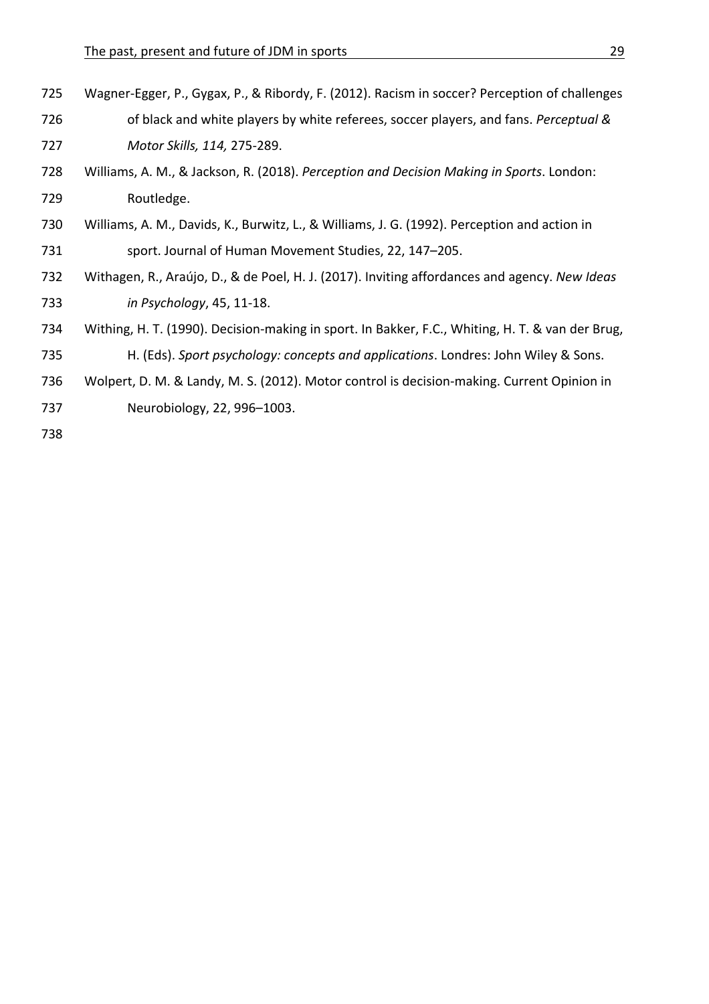| 725 | Wagner-Egger, P., Gygax, P., & Ribordy, F. (2012). Racism in soccer? Perception of challenges    |
|-----|--------------------------------------------------------------------------------------------------|
| 726 | of black and white players by white referees, soccer players, and fans. Perceptual &             |
| 727 | Motor Skills, 114, 275-289.                                                                      |
| 728 | Williams, A. M., & Jackson, R. (2018). Perception and Decision Making in Sports. London:         |
| 729 | Routledge.                                                                                       |
| 730 | Williams, A. M., Davids, K., Burwitz, L., & Williams, J. G. (1992). Perception and action in     |
| 731 | sport. Journal of Human Movement Studies, 22, 147-205.                                           |
| 732 | Withagen, R., Araújo, D., & de Poel, H. J. (2017). Inviting affordances and agency. New Ideas    |
| 733 | in Psychology, 45, 11-18.                                                                        |
| 734 | Withing, H. T. (1990). Decision-making in sport. In Bakker, F.C., Whiting, H. T. & van der Brug, |
| 735 | H. (Eds). Sport psychology: concepts and applications. Londres: John Wiley & Sons.               |
| 736 | Wolpert, D. M. & Landy, M. S. (2012). Motor control is decision-making. Current Opinion in       |
| 737 | Neurobiology, 22, 996-1003.                                                                      |
|     |                                                                                                  |

738